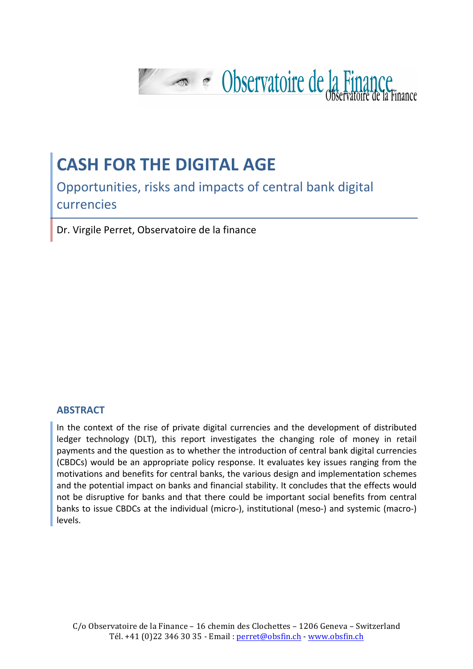

# **CASH FOR THE DIGITAL AGE**

Opportunities, risks and impacts of central bank digital currencies

Dr. Virgile Perret, Observatoire de la finance

#### **ABSTRACT**

In the context of the rise of private digital currencies and the development of distributed ledger technology (DLT), this report investigates the changing role of money in retail payments and the question as to whether the introduction of central bank digital currencies (CBDCs) would be an appropriate policy response. It evaluates key issues ranging from the motivations and benefits for central banks, the various design and implementation schemes and the potential impact on banks and financial stability. It concludes that the effects would not be disruptive for banks and that there could be important social benefits from central banks to issue CBDCs at the individual (micro-), institutional (meso-) and systemic (macro-) levels.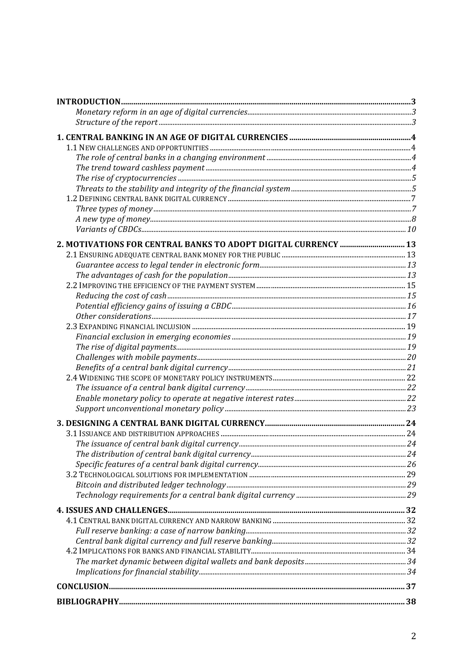| $\bf INTRODUCTION. 23.32$                                      |  |
|----------------------------------------------------------------|--|
|                                                                |  |
|                                                                |  |
|                                                                |  |
|                                                                |  |
|                                                                |  |
|                                                                |  |
|                                                                |  |
|                                                                |  |
|                                                                |  |
|                                                                |  |
|                                                                |  |
|                                                                |  |
| 2. MOTIVATIONS FOR CENTRAL BANKS TO ADOPT DIGITAL CURRENCY  13 |  |
|                                                                |  |
|                                                                |  |
|                                                                |  |
|                                                                |  |
|                                                                |  |
|                                                                |  |
|                                                                |  |
|                                                                |  |
|                                                                |  |
|                                                                |  |
|                                                                |  |
|                                                                |  |
|                                                                |  |
|                                                                |  |
|                                                                |  |
|                                                                |  |
|                                                                |  |
|                                                                |  |
|                                                                |  |
|                                                                |  |
|                                                                |  |
|                                                                |  |
|                                                                |  |
|                                                                |  |
|                                                                |  |
|                                                                |  |
|                                                                |  |
|                                                                |  |
|                                                                |  |
|                                                                |  |
|                                                                |  |
|                                                                |  |
|                                                                |  |
|                                                                |  |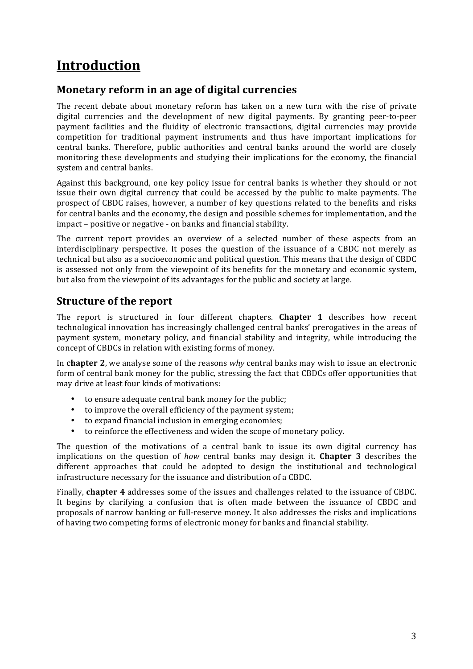# **Introduction**

## **Monetary reform in an age of digital currencies**

The recent debate about monetary reform has taken on a new turn with the rise of private digital currencies and the development of new digital payments. By granting peer-to-peer payment facilities and the fluidity of electronic transactions, digital currencies may provide competition for traditional payment instruments and thus have important implications for central banks. Therefore, public authorities and central banks around the world are closely monitoring these developments and studying their implications for the economy, the financial system and central banks.

Against this background, one key policy issue for central banks is whether they should or not issue their own digital currency that could be accessed by the public to make payments. The prospect of CBDC raises, however, a number of key questions related to the benefits and risks for central banks and the economy, the design and possible schemes for implementation, and the impact – positive or negative - on banks and financial stability.

The current report provides an overview of a selected number of these aspects from an interdisciplinary perspective. It poses the question of the issuance of a CBDC not merely as technical but also as a socioeconomic and political question. This means that the design of CBDC is assessed not only from the viewpoint of its benefits for the monetary and economic system, but also from the viewpoint of its advantages for the public and society at large.

# **Structure of the report**

The report is structured in four different chapters. Chapter 1 describes how recent technological innovation has increasingly challenged central banks' prerogatives in the areas of payment system, monetary policy, and financial stability and integrity, while introducing the concept of CBDCs in relation with existing forms of money.

In **chapter** 2, we analyse some of the reasons *why* central banks may wish to issue an electronic form of central bank money for the public, stressing the fact that CBDCs offer opportunities that may drive at least four kinds of motivations:

- to ensure adequate central bank money for the public;
- to improve the overall efficiency of the payment system;
- to expand financial inclusion in emerging economies;
- to reinforce the effectiveness and widen the scope of monetary policy.

The question of the motivations of a central bank to issue its own digital currency has implications on the question of *how* central banks may design it. **Chapter 3** describes the different approaches that could be adopted to design the institutional and technological infrastructure necessary for the issuance and distribution of a CBDC.

Finally, **chapter 4** addresses some of the issues and challenges related to the issuance of CBDC. It begins by clarifying a confusion that is often made between the issuance of CBDC and proposals of narrow banking or full-reserve money. It also addresses the risks and implications of having two competing forms of electronic money for banks and financial stability.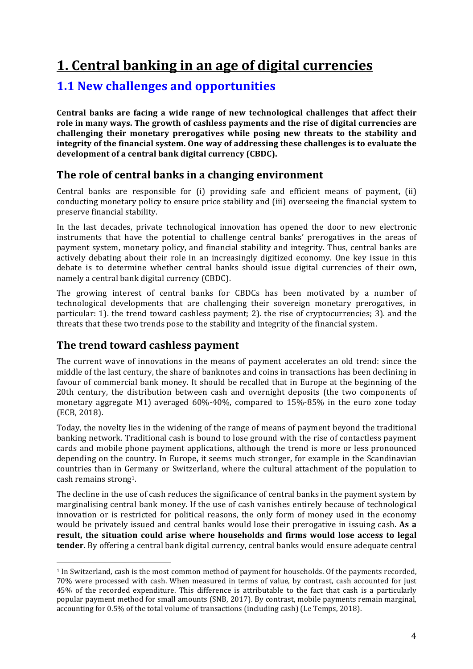# **1. Central banking in an age of digital currencies**

# **1.1 New challenges and opportunities**

Central banks are facing a wide range of new technological challenges that affect their role in many ways. The growth of cashless payments and the rise of digital currencies are challenging their monetary prerogatives while posing new threats to the stability and **integrity** of the financial system. One way of addressing these challenges is to evaluate the development of a central bank digital currency (CBDC).

# The role of central banks in a changing environment

Central banks are responsible for  $(i)$  providing safe and efficient means of payment,  $(ii)$ conducting monetary policy to ensure price stability and (iii) overseeing the financial system to preserve financial stability.

In the last decades, private technological innovation has opened the door to new electronic instruments that have the potential to challenge central banks' prerogatives in the areas of payment system, monetary policy, and financial stability and integrity. Thus, central banks are actively debating about their role in an increasingly digitized economy. One key issue in this debate is to determine whether central banks should issue digital currencies of their own, namely a central bank digital currency (CBDC).

The growing interest of central banks for CBDCs has been motivated by a number of technological developments that are challenging their sovereign monetary prerogatives, in particular: 1). the trend toward cashless payment; 2). the rise of cryptocurrencies; 3). and the threats that these two trends pose to the stability and integrity of the financial system.

# **The trend toward cashless payment**

 

The current wave of innovations in the means of payment accelerates an old trend: since the middle of the last century, the share of banknotes and coins in transactions has been declining in favour of commercial bank money. It should be recalled that in Europe at the beginning of the 20th century, the distribution between cash and overnight deposits (the two components of monetary aggregate M1) averaged  $60\% -40\%$ , compared to  $15\% -85\%$  in the euro zone today (ECB, 2018).

Today, the novelty lies in the widening of the range of means of payment beyond the traditional banking network. Traditional cash is bound to lose ground with the rise of contactless payment cards and mobile phone payment applications, although the trend is more or less pronounced depending on the country. In Europe, it seems much stronger, for example in the Scandinavian countries than in Germany or Switzerland, where the cultural attachment of the population to cash remains strong<sup>1</sup>.

The decline in the use of cash reduces the significance of central banks in the payment system by marginalising central bank money. If the use of cash vanishes entirely because of technological innovation or is restricted for political reasons, the only form of money used in the economy would be privately issued and central banks would lose their prerogative in issuing cash. As a result, the situation could arise where households and firms would lose access to legal **tender.** By offering a central bank digital currency, central banks would ensure adequate central

<sup>&</sup>lt;sup>1</sup> In Switzerland, cash is the most common method of payment for households. Of the payments recorded, 70% were processed with cash. When measured in terms of value, by contrast, cash accounted for just 45% of the recorded expenditure. This difference is attributable to the fact that cash is a particularly popular payment method for small amounts (SNB, 2017). By contrast, mobile payments remain marginal, accounting for 0.5% of the total volume of transactions (including cash) (Le Temps, 2018).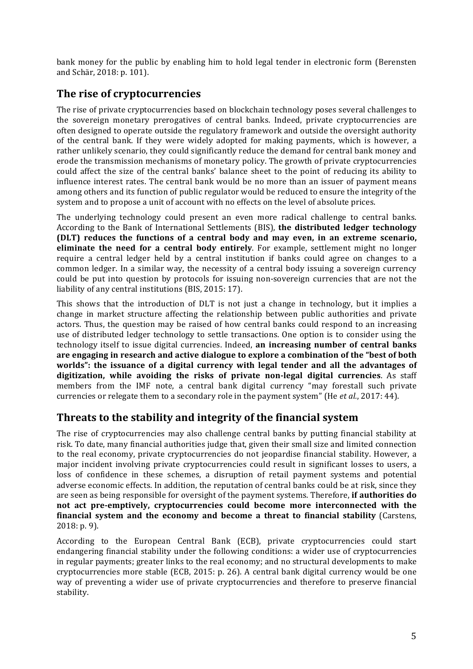bank money for the public by enabling him to hold legal tender in electronic form (Berensten and Schär, 2018: p. 101).

# **The rise of cryptocurrencies**

The rise of private cryptocurrencies based on blockchain technology poses several challenges to the sovereign monetary prerogatives of central banks. Indeed, private cryptocurrencies are often designed to operate outside the regulatory framework and outside the oversight authority of the central bank. If they were widely adopted for making payments, which is however, a rather unlikely scenario, they could significantly reduce the demand for central bank money and erode the transmission mechanisms of monetary policy. The growth of private cryptocurrencies could affect the size of the central banks' balance sheet to the point of reducing its ability to influence interest rates. The central bank would be no more than an issuer of payment means among others and its function of public regulator would be reduced to ensure the integrity of the system and to propose a unit of account with no effects on the level of absolute prices.

The underlying technology could present an even more radical challenge to central banks. According to the Bank of International Settlements (BIS), the distributed ledger technology **(DLT)** reduces the functions of a central body and may even, in an extreme scenario, **eliminate the need for a central body entirely**. For example, settlement might no longer require a central ledger held by a central institution if banks could agree on changes to a common ledger. In a similar way, the necessity of a central body issuing a sovereign currency could be put into question by protocols for issuing non-sovereign currencies that are not the liability of any central institutions (BIS, 2015: 17).

This shows that the introduction of DLT is not just a change in technology, but it implies a change in market structure affecting the relationship between public authorities and private actors. Thus, the question may be raised of how central banks could respond to an increasing use of distributed ledger technology to settle transactions. One option is to consider using the technology itself to issue digital currencies. Indeed, **an increasing number of central banks** are engaging in research and active dialogue to explore a combination of the "best of both worlds": the issuance of a digital currency with legal tender and all the advantages of **digitization, while avoiding the risks of private non-legal digital currencies**. As staff members from the IMF note, a central bank digital currency "may forestall such private currencies or relegate them to a secondary role in the payment system" (He *et al.*, 2017: 44).

### **Threats to the stability and integrity of the financial system**

The rise of cryptocurrencies may also challenge central banks by putting financial stability at risk. To date, many financial authorities judge that, given their small size and limited connection to the real economy, private cryptocurrencies do not jeopardise financial stability. However, a major incident involving private cryptocurrencies could result in significant losses to users, a loss of confidence in these schemes, a disruption of retail payment systems and potential adverse economic effects. In addition, the reputation of central banks could be at risk, since they are seen as being responsible for oversight of the payment systems. Therefore, if authorities do not act pre-emptively, cryptocurrencies could become more interconnected with the **financial system and the economy and become a threat to financial stability** (Carstens,  $2018: p. 9$ ).

According to the European Central Bank (ECB), private cryptocurrencies could start endangering financial stability under the following conditions: a wider use of cryptocurrencies in regular payments; greater links to the real economy; and no structural developments to make cryptocurrencies more stable  $(ECB, 2015: p. 26)$ . A central bank digital currency would be one way of preventing a wider use of private cryptocurrencies and therefore to preserve financial stability.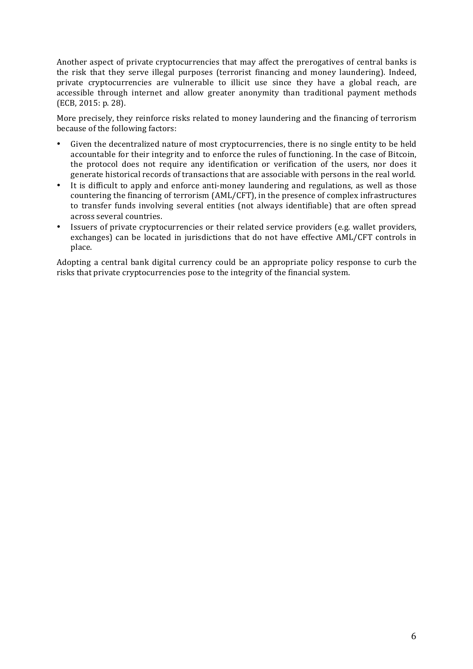Another aspect of private cryptocurrencies that may affect the prerogatives of central banks is the risk that they serve illegal purposes (terrorist financing and money laundering). Indeed, private cryptocurrencies are vulnerable to illicit use since they have a global reach, are accessible through internet and allow greater anonymity than traditional payment methods (ECB, 2015: p. 28).

More precisely, they reinforce risks related to money laundering and the financing of terrorism because of the following factors:

- Given the decentralized nature of most cryptocurrencies, there is no single entity to be held accountable for their integrity and to enforce the rules of functioning. In the case of Bitcoin, the protocol does not require any identification or verification of the users, nor does it generate historical records of transactions that are associable with persons in the real world.
- It is difficult to apply and enforce anti-money laundering and regulations, as well as those countering the financing of terrorism (AML/CFT), in the presence of complex infrastructures to transfer funds involving several entities (not always identifiable) that are often spread across several countries.
- Issuers of private cryptocurrencies or their related service providers (e.g. wallet providers, exchanges) can be located in jurisdictions that do not have effective AML/CFT controls in place.

Adopting a central bank digital currency could be an appropriate policy response to curb the risks that private cryptocurrencies pose to the integrity of the financial system.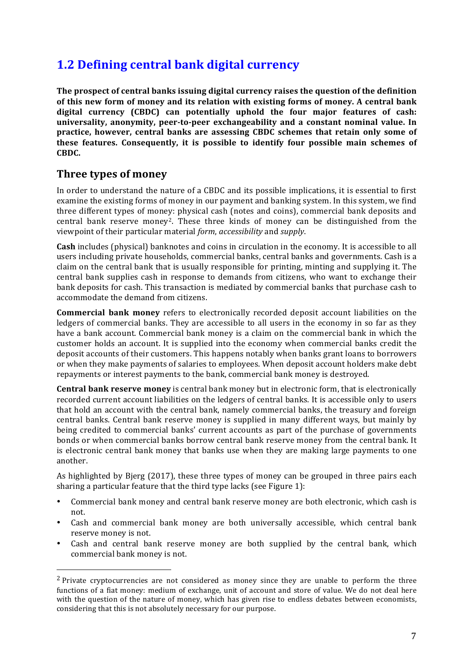# **1.2 Defining central bank digital currency**

**The prospect of central banks issuing digital currency raises the question of the definition** of this new form of money and its relation with existing forms of money. A central bank digital currency (CBDC) can potentially uphold the four major features of cash: universality, anonymity, peer-to-peer exchangeability and a constant nominal value. In **practice, however, central banks are assessing CBDC schemes that retain only some of these features.** Consequently, it is possible to identify four possible main schemes of **CBDC.** 

### **Three types of money**

 

In order to understand the nature of a CBDC and its possible implications, it is essential to first examine the existing forms of money in our payment and banking system. In this system, we find three different types of money: physical cash (notes and coins), commercial bank deposits and central bank reserve money<sup>2</sup>. These three kinds of money can be distinguished from the viewpoint of their particular material *form*, *accessibility* and *supply*. 

**Cash** includes (physical) banknotes and coins in circulation in the economy. It is accessible to all users including private households, commercial banks, central banks and governments. Cash is a claim on the central bank that is usually responsible for printing, minting and supplying it. The central bank supplies cash in response to demands from citizens, who want to exchange their bank deposits for cash. This transaction is mediated by commercial banks that purchase cash to accommodate the demand from citizens.

**Commercial bank money** refers to electronically recorded deposit account liabilities on the ledgers of commercial banks. They are accessible to all users in the economy in so far as they have a bank account. Commercial bank money is a claim on the commercial bank in which the customer holds an account. It is supplied into the economy when commercial banks credit the deposit accounts of their customers. This happens notably when banks grant loans to borrowers or when they make payments of salaries to employees. When deposit account holders make debt repayments or interest payments to the bank, commercial bank money is destroyed.

**Central bank reserve money** is central bank money but in electronic form, that is electronically recorded current account liabilities on the ledgers of central banks. It is accessible only to users that hold an account with the central bank, namely commercial banks, the treasury and foreign central banks. Central bank reserve money is supplied in many different ways, but mainly by being credited to commercial banks' current accounts as part of the purchase of governments bonds or when commercial banks borrow central bank reserve money from the central bank. It is electronic central bank money that banks use when they are making large payments to one another.

As highlighted by Bjerg (2017), these three types of money can be grouped in three pairs each sharing a particular feature that the third type lacks (see Figure 1):

- Commercial bank money and central bank reserve money are both electronic, which cash is not.
- Cash and commercial bank money are both universally accessible, which central bank reserve money is not.
- Cash and central bank reserve money are both supplied by the central bank, which commercial bank money is not.

 $2$  Private cryptocurrencies are not considered as money since they are unable to perform the three functions of a fiat money: medium of exchange, unit of account and store of value. We do not deal here with the question of the nature of money, which has given rise to endless debates between economists, considering that this is not absolutely necessary for our purpose.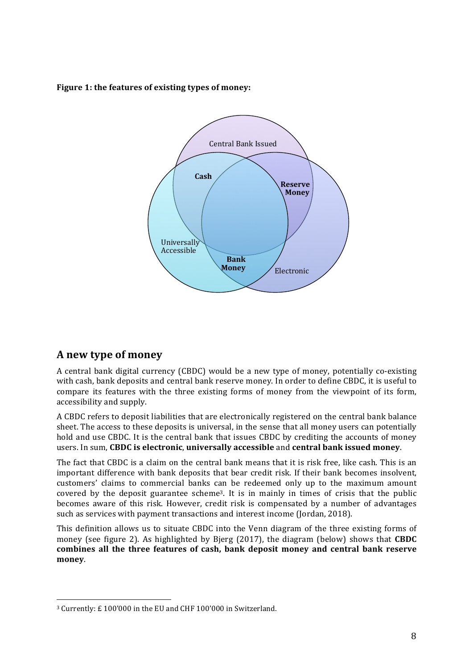**Figure 1: the features of existing types of money:** 



### **A new type of money**

 

A central bank digital currency (CBDC) would be a new type of money, potentially co-existing with cash, bank deposits and central bank reserve money. In order to define CBDC, it is useful to compare its features with the three existing forms of money from the viewpoint of its form, accessibility and supply.

A CBDC refers to deposit liabilities that are electronically registered on the central bank balance sheet. The access to these deposits is universal, in the sense that all money users can potentially hold and use CBDC. It is the central bank that issues CBDC by crediting the accounts of money users. In sum, CBDC is electronic, universally accessible and central bank issued money.

The fact that CBDC is a claim on the central bank means that it is risk free, like cash. This is an important difference with bank deposits that bear credit risk. If their bank becomes insolvent, customers' claims to commercial banks can be redeemed only up to the maximum amount covered by the deposit guarantee scheme<sup>3</sup>. It is in mainly in times of crisis that the public becomes aware of this risk. However, credit risk is compensated by a number of advantages such as services with payment transactions and interest income (Jordan, 2018).

This definition allows us to situate CBDC into the Venn diagram of the three existing forms of money (see figure 2). As highlighted by Bjerg (2017), the diagram (below) shows that **CBDC** combines all the three features of cash, bank deposit money and central bank reserve **money**.

<sup>&</sup>lt;sup>3</sup> Currently: £ 100'000 in the EU and CHF 100'000 in Switzerland.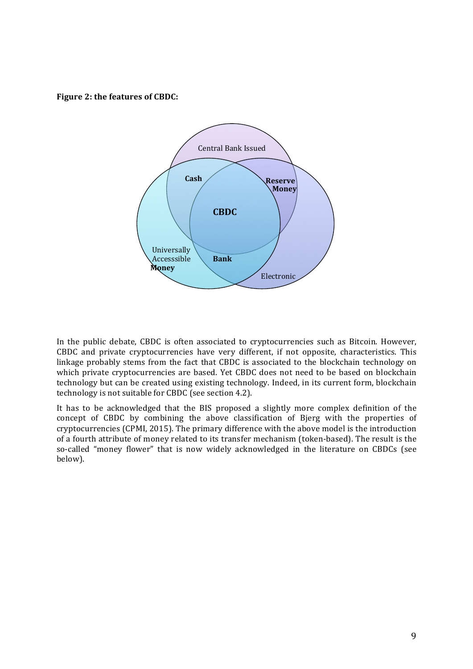**Figure 2: the features of CBDC:** 



In the public debate, CBDC is often associated to cryptocurrencies such as Bitcoin. However, CBDC and private cryptocurrencies have very different, if not opposite, characteristics. This linkage probably stems from the fact that CBDC is associated to the blockchain technology on which private cryptocurrencies are based. Yet CBDC does not need to be based on blockchain technology but can be created using existing technology. Indeed, in its current form, blockchain technology is not suitable for CBDC (see section 4.2).

It has to be acknowledged that the BIS proposed a slightly more complex definition of the concept of CBDC by combining the above classification of Bjerg with the properties of cryptocurrencies (CPMI, 2015). The primary difference with the above model is the introduction of a fourth attribute of money related to its transfer mechanism (token-based). The result is the so-called "money flower" that is now widely acknowledged in the literature on CBDCs (see below).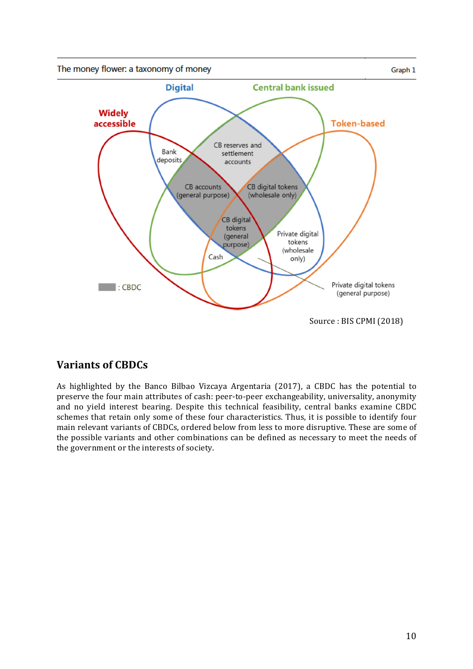

# **Variants of CBDCs**

As highlighted by the Banco Bilbao Vizcaya Argentaria (2017), a CBDC has the potential to preserve the four main attributes of cash: peer-to-peer exchangeability, universality, anonymity and no yield interest bearing. Despite this technical feasibility, central banks examine CBDC schemes that retain only some of these four characteristics. Thus, it is possible to identify four main relevant variants of CBDCs, ordered below from less to more disruptive. These are some of the possible variants and other combinations can be defined as necessary to meet the needs of the government or the interests of society.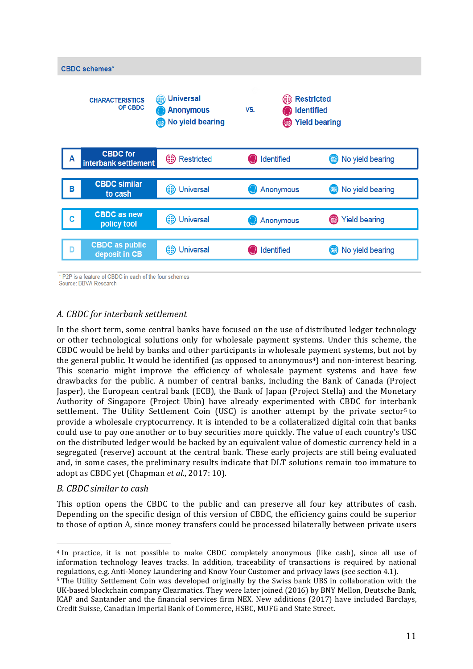

\* P2P is a feature of CBDC in each of the four schemes

Source: BBVA Research

#### *A. CBDC for interbank settlement*

In the short term, some central banks have focused on the use of distributed ledger technology or other technological solutions only for wholesale payment systems. Under this scheme, the CBDC would be held by banks and other participants in wholesale payment systems, but not by the general public. It would be identified (as opposed to anonymous<sup>4</sup>) and non-interest bearing. This scenario might improve the efficiency of wholesale payment systems and have few drawbacks for the public. A number of central banks, including the Bank of Canada (Project Jasper), the European central bank (ECB), the Bank of Japan (Project Stella) and the Monetary Authority of Singapore (Project Ubin) have already experimented with CBDC for interbank settlement. The Utility Settlement Coin (USC) is another attempt by the private sector<sup>5</sup> to provide a wholesale cryptocurrency. It is intended to be a collateralized digital coin that banks could use to pay one another or to buy securities more quickly. The value of each country's USC on the distributed ledger would be backed by an equivalent value of domestic currency held in a segregated (reserve) account at the central bank. These early projects are still being evaluated and, in some cases, the preliminary results indicate that DLT solutions remain too immature to adopt as CBDC yet (Chapman et al., 2017: 10).

#### *B. CBDC similar to cash*

This option opens the CBDC to the public and can preserve all four key attributes of cash. Depending on the specific design of this version of CBDC, the efficiency gains could be superior to those of option A, since money transfers could be processed bilaterally between private users

  $4$  In practice, it is not possible to make CBDC completely anonymous (like cash), since all use of information technology leaves tracks. In addition, traceability of transactions is required by national regulations, e.g. Anti-Money Laundering and Know Your Customer and privacy laws (see section 4.1).

<sup>&</sup>lt;sup>5</sup> The Utility Settlement Coin was developed originally by the Swiss bank UBS in collaboration with the UK-based blockchain company Clearmatics. They were later joined (2016) by BNY Mellon, Deutsche Bank, ICAP and Santander and the financial services firm NEX. New additions (2017) have included Barclays, Credit Suisse, Canadian Imperial Bank of Commerce, HSBC, MUFG and State Street.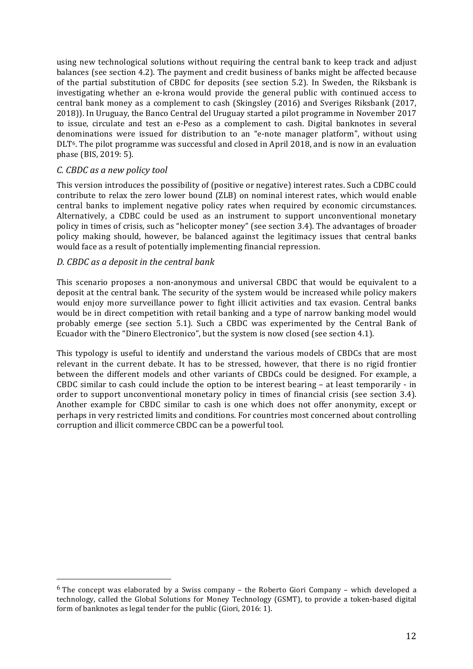using new technological solutions without requiring the central bank to keep track and adjust balances (see section 4.2). The payment and credit business of banks might be affected because of the partial substitution of CBDC for deposits (see section 5.2). In Sweden, the Riksbank is investigating whether an e-krona would provide the general public with continued access to central bank money as a complement to cash (Skingsley (2016) and Sveriges Riksbank (2017, 2018)). In Uruguay, the Banco Central del Uruguay started a pilot programme in November 2017 to issue, circulate and test an e-Peso as a complement to cash. Digital banknotes in several denominations were issued for distribution to an "e-note manager platform", without using DLT<sup>6</sup>. The pilot programme was successful and closed in April 2018, and is now in an evaluation phase (BIS, 2019: 5).

#### *C. CBDC as a new policy tool*

 

This version introduces the possibility of (positive or negative) interest rates. Such a CDBC could contribute to relax the zero lower bound (ZLB) on nominal interest rates, which would enable central banks to implement negative policy rates when required by economic circumstances. Alternatively, a CDBC could be used as an instrument to support unconventional monetary policy in times of crisis, such as "helicopter money" (see section 3.4). The advantages of broader policy making should, however, be balanced against the legitimacy issues that central banks would face as a result of potentially implementing financial repression.

#### *D. CBDC as a deposit in the central bank*

This scenario proposes a non-anonymous and universal CBDC that would be equivalent to a deposit at the central bank. The security of the system would be increased while policy makers would enjoy more surveillance power to fight illicit activities and tax evasion. Central banks would be in direct competition with retail banking and a type of narrow banking model would probably emerge (see section 5.1). Such a CBDC was experimented by the Central Bank of Ecuador with the "Dinero Electronico", but the system is now closed (see section 4.1).

This typology is useful to identify and understand the various models of CBDCs that are most relevant in the current debate. It has to be stressed, however, that there is no rigid frontier between the different models and other variants of CBDCs could be designed. For example, a CBDC similar to cash could include the option to be interest bearing  $-$  at least temporarily  $-$  in order to support unconventional monetary policy in times of financial crisis (see section 3.4). Another example for CBDC similar to cash is one which does not offer anonymity, except or perhaps in very restricted limits and conditions. For countries most concerned about controlling corruption and illicit commerce CBDC can be a powerful tool.

 $6$  The concept was elaborated by a Swiss company – the Roberto Giori Company – which developed a technology, called the Global Solutions for Money Technology (GSMT), to provide a token-based digital form of banknotes as legal tender for the public (Giori, 2016: 1).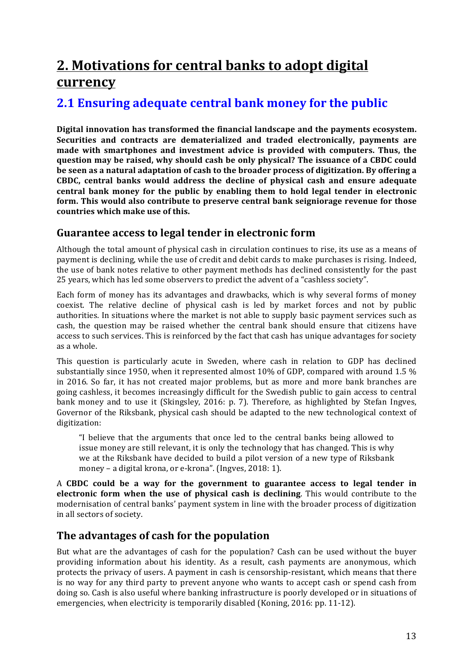# **2.** Motivations for central banks to adopt digital **currency**

# **2.1 Ensuring adequate central bank money for the public**

Digital innovation has transformed the financial landscape and the payments ecosystem. **Securities and contracts are dematerialized and traded electronically, payments are** made with smartphones and investment advice is provided with computers. Thus, the **question may be raised, why should cash be only physical? The issuance of a CBDC could** be seen as a natural adaptation of cash to the broader process of digitization. By offering a **CBDC, central banks would address the decline of physical cash and ensure adequate central bank money for the public by enabling them to hold legal tender in electronic** form. This would also contribute to preserve central bank seigniorage revenue for those **countries which make use of this.**

### **Guarantee access to legal tender in electronic form**

Although the total amount of physical cash in circulation continues to rise, its use as a means of payment is declining, while the use of credit and debit cards to make purchases is rising. Indeed, the use of bank notes relative to other payment methods has declined consistently for the past 25 years, which has led some observers to predict the advent of a "cashless society".

Each form of money has its advantages and drawbacks, which is why several forms of money coexist. The relative decline of physical cash is led by market forces and not by public authorities. In situations where the market is not able to supply basic payment services such as cash, the question may be raised whether the central bank should ensure that citizens have access to such services. This is reinforced by the fact that cash has unique advantages for society as a whole.

This question is particularly acute in Sweden, where cash in relation to GDP has declined substantially since 1950, when it represented almost 10% of GDP, compared with around 1.5 % in 2016. So far, it has not created major problems, but as more and more bank branches are going cashless, it becomes increasingly difficult for the Swedish public to gain access to central bank money and to use it (Skingsley, 2016: p. 7). Therefore, as highlighted by Stefan Ingves, Governor of the Riksbank, physical cash should be adapted to the new technological context of digitization: 

"I believe that the arguments that once led to the central banks being allowed to issue money are still relevant, it is only the technology that has changed. This is why we at the Riksbank have decided to build a pilot version of a new type of Riksbank money - a digital krona, or e-krona". (Ingves, 2018: 1).

A **CBDC** could be a way for the government to guarantee access to legal tender in **electronic form when the use of physical cash is declining**. This would contribute to the modernisation of central banks' payment system in line with the broader process of digitization in all sectors of society.

# The advantages of cash for the population

But what are the advantages of cash for the population? Cash can be used without the buyer providing information about his identity. As a result, cash payments are anonymous, which protects the privacy of users. A payment in cash is censorship-resistant, which means that there is no way for any third party to prevent anyone who wants to accept cash or spend cash from doing so. Cash is also useful where banking infrastructure is poorly developed or in situations of emergencies, when electricity is temporarily disabled (Koning, 2016: pp. 11-12).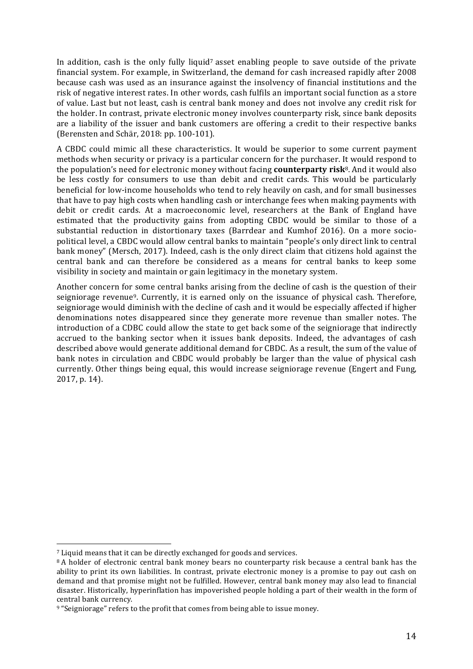In addition, cash is the only fully liquid<sup>7</sup> asset enabling people to save outside of the private financial system. For example, in Switzerland, the demand for cash increased rapidly after 2008 because cash was used as an insurance against the insolvency of financial institutions and the risk of negative interest rates. In other words, cash fulfils an important social function as a store of value. Last but not least, cash is central bank money and does not involve any credit risk for the holder. In contrast, private electronic money involves counterparty risk, since bank deposits are a liability of the issuer and bank customers are offering a credit to their respective banks (Berensten and Schär, 2018: pp. 100-101).

A CBDC could mimic all these characteristics. It would be superior to some current payment methods when security or privacy is a particular concern for the purchaser. It would respond to the population's need for electronic money without facing **counterparty risk**<sup>8</sup>. And it would also be less costly for consumers to use than debit and credit cards. This would be particularly beneficial for low-income households who tend to rely heavily on cash, and for small businesses that have to pay high costs when handling cash or interchange fees when making payments with debit or credit cards. At a macroeconomic level, researchers at the Bank of England have estimated that the productivity gains from adopting CBDC would be similar to those of a substantial reduction in distortionary taxes (Barrdear and Kumhof 2016). On a more sociopolitical level, a CBDC would allow central banks to maintain "people's only direct link to central bank money" (Mersch, 2017). Indeed, cash is the only direct claim that citizens hold against the central bank and can therefore be considered as a means for central banks to keep some visibility in society and maintain or gain legitimacy in the monetary system.

Another concern for some central banks arising from the decline of cash is the question of their seigniorage revenue<sup>9</sup>. Currently, it is earned only on the issuance of physical cash. Therefore, seigniorage would diminish with the decline of cash and it would be especially affected if higher denominations notes disappeared since they generate more revenue than smaller notes. The introduction of a CDBC could allow the state to get back some of the seigniorage that indirectly accrued to the banking sector when it issues bank deposits. Indeed, the advantages of cash described above would generate additional demand for CBDC. As a result, the sum of the value of bank notes in circulation and CBDC would probably be larger than the value of physical cash currently. Other things being equal, this would increase seigniorage revenue (Engert and Fung, 2017, p. 14).

 

 $7$  Liquid means that it can be directly exchanged for goods and services.

<sup>&</sup>lt;sup>8</sup> A holder of electronic central bank money bears no counterparty risk because a central bank has the ability to print its own liabilities. In contrast, private electronic money is a promise to pay out cash on demand and that promise might not be fulfilled. However, central bank money may also lead to financial disaster. Historically, hyperinflation has impoverished people holding a part of their wealth in the form of central bank currency.

<sup>&</sup>lt;sup>9</sup> "Seigniorage" refers to the profit that comes from being able to issue money.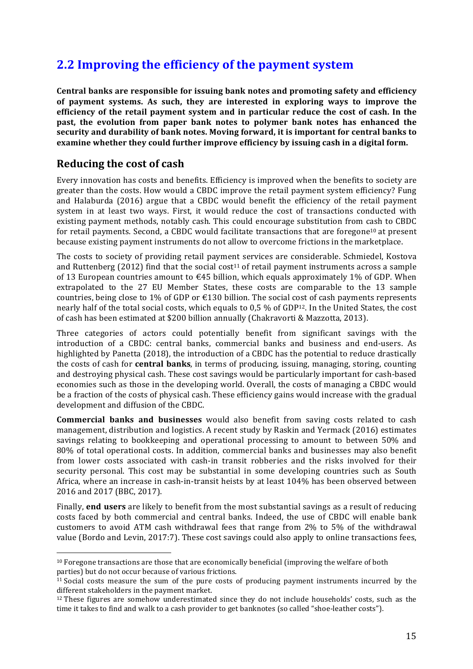# **2.2 Improving the efficiency of the payment system**

**Central banks are responsible for issuing bank notes and promoting safety and efficiency** of payment systems. As such, they are interested in exploring ways to improve the efficiency of the retail payment system and in particular reduce the cost of cash. In the **past, the evolution from paper bank notes to polymer bank notes has enhanced the** security and durability of bank notes. Moving forward, it is important for central banks to **examine** whether they could further improve efficiency by issuing cash in a digital form.

### **Reducing the cost of cash**

 

Every innovation has costs and benefits. Efficiency is improved when the benefits to society are greater than the costs. How would a CBDC improve the retail payment system efficiency? Fung and Halaburda  $(2016)$  argue that a CBDC would benefit the efficiency of the retail payment system in at least two ways. First, it would reduce the cost of transactions conducted with existing payment methods, notably cash. This could encourage substitution from cash to CBDC for retail payments. Second, a CBDC would facilitate transactions that are foregone<sup>10</sup> at present because existing payment instruments do not allow to overcome frictions in the marketplace.

The costs to society of providing retail payment services are considerable. Schmiedel, Kostova and Ruttenberg (2012) find that the social cost<sup>11</sup> of retail payment instruments across a sample of 13 European countries amount to  $\epsilon$ 45 billion, which equals approximately 1% of GDP. When extrapolated to the 27 EU Member States, these costs are comparable to the 13 sample countries, being close to 1% of GDP or  $\epsilon$ 130 billion. The social cost of cash payments represents nearly half of the total social costs, which equals to  $0.5\%$  of GDP<sup>12</sup>. In the United States, the cost of cash has been estimated at \$200 billion annually (Chakravorti & Mazzotta, 2013).

Three categories of actors could potentially benefit from significant savings with the introduction of a CBDC: central banks, commercial banks and business and end-users. As highlighted by Panetta (2018), the introduction of a CBDC has the potential to reduce drastically the costs of cash for **central banks**, in terms of producing, issuing, managing, storing, counting and destroying physical cash. These cost savings would be particularly important for cash-based economies such as those in the developing world. Overall, the costs of managing a CBDC would be a fraction of the costs of physical cash. These efficiency gains would increase with the gradual development and diffusion of the CBDC.

**Commercial banks and businesses** would also benefit from saving costs related to cash management, distribution and logistics. A recent study by Raskin and Yermack (2016) estimates savings relating to bookkeeping and operational processing to amount to between 50% and 80% of total operational costs. In addition, commercial banks and businesses may also benefit from lower costs associated with cash-in transit robberies and the risks involved for their security personal. This cost may be substantial in some developing countries such as South Africa, where an increase in cash-in-transit heists by at least 104% has been observed between 2016 and 2017 (BBC, 2017).

Finally, **end users** are likely to benefit from the most substantial savings as a result of reducing costs faced by both commercial and central banks. Indeed, the use of CBDC will enable bank customers to avoid ATM cash withdrawal fees that range from  $2\%$  to  $5\%$  of the withdrawal value (Bordo and Levin, 2017:7). These cost savings could also apply to online transactions fees,

 $10$  Foregone transactions are those that are economically beneficial (improving the welfare of both parties) but do not occur because of various frictions.

 $11$  Social costs measure the sum of the pure costs of producing payment instruments incurred by the different stakeholders in the payment market.

 $12$  These figures are somehow underestimated since they do not include households' costs, such as the time it takes to find and walk to a cash provider to get banknotes (so called "shoe-leather costs").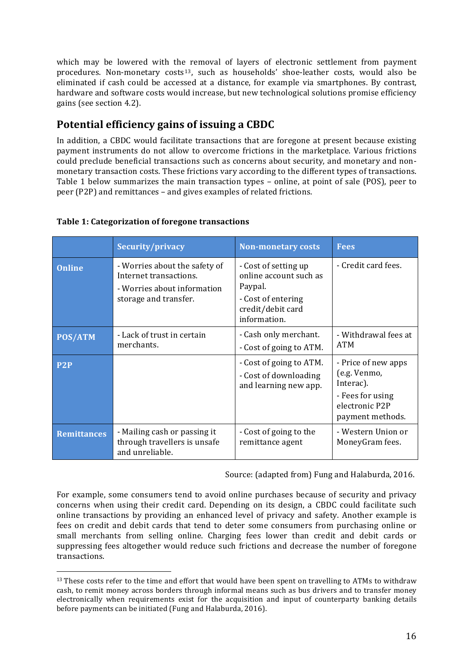which may be lowered with the removal of layers of electronic settlement from payment procedures. Non-monetary  $costs<sup>13</sup>$ , such as households' shoe-leather costs, would also be eliminated if cash could be accessed at a distance, for example via smartphones. By contrast, hardware and software costs would increase, but new technological solutions promise efficiency gains (see section 4.2).

# **Potential efficiency gains of issuing a CBDC**

In addition, a CBDC would facilitate transactions that are foregone at present because existing payment instruments do not allow to overcome frictions in the marketplace. Various frictions could preclude beneficial transactions such as concerns about security, and monetary and nonmonetary transaction costs. These frictions vary according to the different types of transactions. Table 1 below summarizes the main transaction types – online, at point of sale (POS), peer to peer (P2P) and remittances – and gives examples of related frictions.

|                    | Security/privacy                                                                                                | <b>Non-monetary costs</b>                                                                                            | <b>Fees</b>                                                                                                |
|--------------------|-----------------------------------------------------------------------------------------------------------------|----------------------------------------------------------------------------------------------------------------------|------------------------------------------------------------------------------------------------------------|
| <b>Online</b>      | - Worries about the safety of<br>Internet transactions.<br>- Worries about information<br>storage and transfer. | - Cost of setting up<br>online account such as<br>Paypal.<br>- Cost of entering<br>credit/debit card<br>information. | - Credit card fees.                                                                                        |
| <b>POS/ATM</b>     | - Lack of trust in certain<br>merchants.                                                                        | - Cash only merchant.<br>- Cost of going to ATM.                                                                     | - Withdrawal fees at<br><b>ATM</b>                                                                         |
| P <sub>2</sub> P   |                                                                                                                 | - Cost of going to ATM.<br>- Cost of downloading<br>and learning new app.                                            | - Price of new apps<br>(e.g. Venmo,<br>Interac).<br>- Fees for using<br>electronic P2P<br>payment methods. |
| <b>Remittances</b> | - Mailing cash or passing it<br>through travellers is unsafe<br>and unreliable.                                 | - Cost of going to the<br>remittance agent                                                                           | - Western Union or<br>MoneyGram fees.                                                                      |

#### **Table 1: Categorization of foregone transactions**

 

Source: (adapted from) Fung and Halaburda, 2016.

For example, some consumers tend to avoid online purchases because of security and privacy concerns when using their credit card. Depending on its design, a CBDC could facilitate such online transactions by providing an enhanced level of privacy and safety. Another example is fees on credit and debit cards that tend to deter some consumers from purchasing online or small merchants from selling online. Charging fees lower than credit and debit cards or suppressing fees altogether would reduce such frictions and decrease the number of foregone transactions.

 $13$  These costs refer to the time and effort that would have been spent on travelling to ATMs to withdraw cash, to remit money across borders through informal means such as bus drivers and to transfer money electronically when requirements exist for the acquisition and input of counterparty banking details before payments can be initiated (Fung and Halaburda, 2016).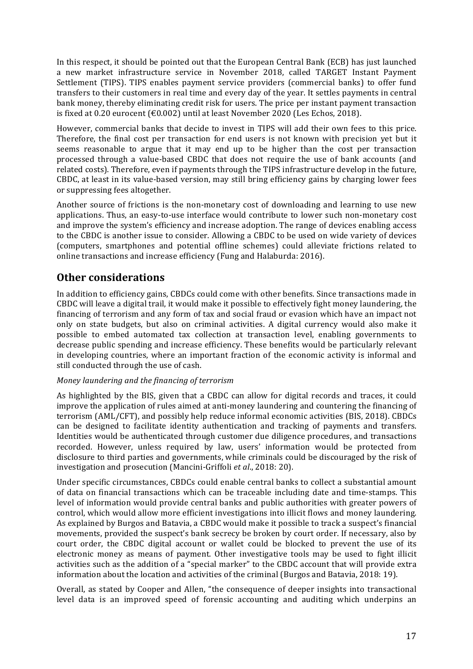In this respect, it should be pointed out that the European Central Bank (ECB) has just launched a new market infrastructure service in November 2018, called TARGET Instant Payment Settlement (TIPS). TIPS enables payment service providers (commercial banks) to offer fund transfers to their customers in real time and every day of the year. It settles payments in central bank money, thereby eliminating credit risk for users. The price per instant payment transaction is fixed at 0.20 eurocent  $(\text{\textsterling}0.002)$  until at least November 2020 (Les Echos, 2018).

However, commercial banks that decide to invest in TIPS will add their own fees to this price. Therefore, the final cost per transaction for end users is not known with precision yet but it seems reasonable to argue that it may end up to be higher than the cost per transaction processed through a value-based CBDC that does not require the use of bank accounts (and related costs). Therefore, even if payments through the TIPS infrastructure develop in the future, CBDC, at least in its value-based version, may still bring efficiency gains by charging lower fees or suppressing fees altogether.

Another source of frictions is the non-monetary cost of downloading and learning to use new applications. Thus, an easy-to-use interface would contribute to lower such non-monetary cost and improve the system's efficiency and increase adoption. The range of devices enabling access to the CBDC is another issue to consider. Allowing a CBDC to be used on wide variety of devices (computers, smartphones and potential offline schemes) could alleviate frictions related to online transactions and increase efficiency (Fung and Halaburda: 2016).

# **Other considerations**

In addition to efficiency gains, CBDCs could come with other benefits. Since transactions made in CBDC will leave a digital trail, it would make it possible to effectively fight money laundering, the financing of terrorism and any form of tax and social fraud or evasion which have an impact not only on state budgets, but also on criminal activities. A digital currency would also make it possible to embed automated tax collection at transaction level, enabling governments to decrease public spending and increase efficiency. These benefits would be particularly relevant in developing countries, where an important fraction of the economic activity is informal and still conducted through the use of cash.

#### *Money laundering and the financing of terrorism*

As highlighted by the BIS, given that a CBDC can allow for digital records and traces, it could improve the application of rules aimed at anti-money laundering and countering the financing of terrorism (AML/CFT), and possibly help reduce informal economic activities (BIS, 2018). CBDCs can be designed to facilitate identity authentication and tracking of payments and transfers. Identities would be authenticated through customer due diligence procedures, and transactions recorded. However, unless required by law, users' information would be protected from disclosure to third parties and governments, while criminals could be discouraged by the risk of investigation and prosecution (Mancini-Griffoli *et al.*, 2018: 20).

Under specific circumstances, CBDCs could enable central banks to collect a substantial amount of data on financial transactions which can be traceable including date and time-stamps. This level of information would provide central banks and public authorities with greater powers of control, which would allow more efficient investigations into illicit flows and money laundering. As explained by Burgos and Batavia, a CBDC would make it possible to track a suspect's financial movements, provided the suspect's bank secrecy be broken by court order. If necessary, also by court order, the CBDC digital account or wallet could be blocked to prevent the use of its electronic money as means of payment. Other investigative tools may be used to fight illicit activities such as the addition of a "special marker" to the CBDC account that will provide extra information about the location and activities of the criminal (Burgos and Batavia, 2018: 19).

Overall, as stated by Cooper and Allen, "the consequence of deeper insights into transactional level data is an improved speed of forensic accounting and auditing which underpins an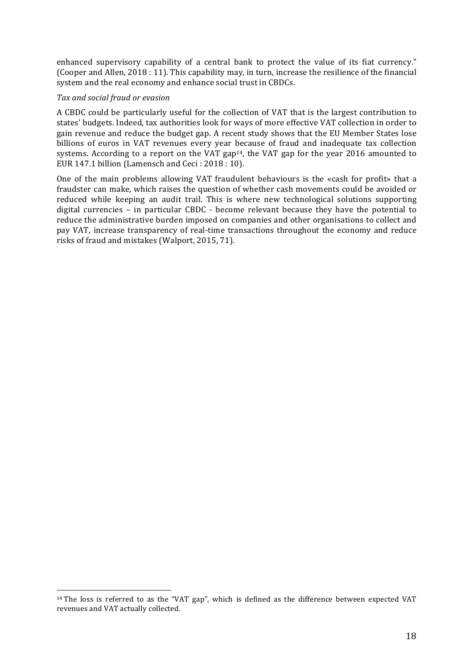enhanced supervisory capability of a central bank to protect the value of its fiat currency." (Cooper and Allen, 2018 : 11). This capability may, in turn, increase the resilience of the financial system and the real economy and enhance social trust in CBDCs.

#### *Tax and social fraud or evasion*

 

A CBDC could be particularly useful for the collection of VAT that is the largest contribution to states' budgets. Indeed, tax authorities look for ways of more effective VAT collection in order to gain revenue and reduce the budget gap. A recent study shows that the EU Member States lose billions of euros in VAT revenues every year because of fraud and inadequate tax collection systems. According to a report on the VAT gap<sup>14</sup>, the VAT gap for the year 2016 amounted to EUR 147.1 billion (Lamensch and Ceci :  $2018:10$ ).

One of the main problems allowing VAT fraudulent behaviours is the «cash for profit» that a fraudster can make, which raises the question of whether cash movements could be avoided or reduced while keeping an audit trail. This is where new technological solutions supporting digital currencies - in particular CBDC - become relevant because they have the potential to reduce the administrative burden imposed on companies and other organisations to collect and pay VAT, increase transparency of real-time transactions throughout the economy and reduce risks of fraud and mistakes (Walport, 2015, 71).

 $14$  The loss is referred to as the "VAT gap", which is defined as the difference between expected VAT revenues and VAT actually collected.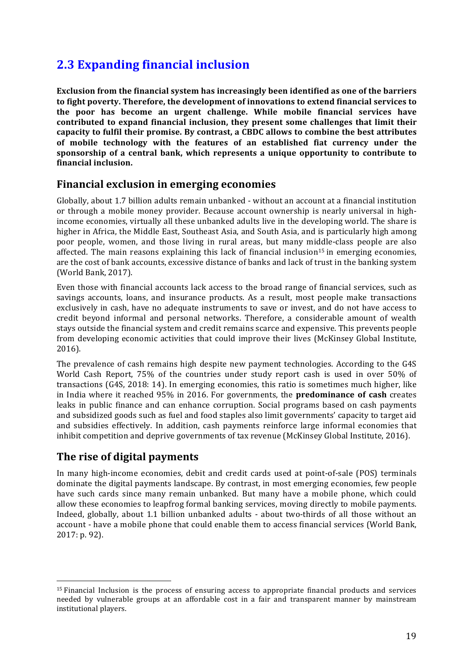# **2.3 Expanding financial inclusion**

**Exclusion from the financial system has increasingly been identified as one of the barriers** to fight poverty. Therefore, the development of innovations to extend financial services to the poor has become an urgent challenge. While mobile financial services have contributed to expand financial inclusion, they present some challenges that limit their capacity to fulfil their promise. By contrast, a CBDC allows to combine the best attributes of mobile technology with the features of an established fiat currency under the sponsorship of a central bank, which represents a unique opportunity to contribute to **financial inclusion.**

#### **Financial exclusion in emerging economies**

Globally, about 1.7 billion adults remain unbanked - without an account at a financial institution or through a mobile money provider. Because account ownership is nearly universal in highincome economies, virtually all these unbanked adults live in the developing world. The share is higher in Africa, the Middle East, Southeast Asia, and South Asia, and is particularly high among poor people, women, and those living in rural areas, but many middle-class people are also affected. The main reasons explaining this lack of financial inclusion<sup>15</sup> in emerging economies, are the cost of bank accounts, excessive distance of banks and lack of trust in the banking system (World Bank, 2017).

Even those with financial accounts lack access to the broad range of financial services, such as savings accounts, loans, and insurance products. As a result, most people make transactions exclusively in cash, have no adequate instruments to save or invest, and do not have access to credit beyond informal and personal networks. Therefore, a considerable amount of wealth stays outside the financial system and credit remains scarce and expensive. This prevents people from developing economic activities that could improve their lives (McKinsey Global Institute, 2016).

The prevalence of cash remains high despite new payment technologies. According to the G4S World Cash Report, 75% of the countries under study report cash is used in over 50% of transactions (G4S, 2018: 14). In emerging economies, this ratio is sometimes much higher, like in India where it reached 95% in 2016. For governments, the **predominance of cash** creates leaks in public finance and can enhance corruption. Social programs based on cash payments and subsidized goods such as fuel and food staples also limit governments' capacity to target aid and subsidies effectively. In addition, cash payments reinforce large informal economies that inhibit competition and deprive governments of tax revenue (McKinsey Global Institute, 2016).

### **The rise of digital payments**

 

In many high-income economies, debit and credit cards used at point-of-sale (POS) terminals dominate the digital payments landscape. By contrast, in most emerging economies, few people have such cards since many remain unbanked. But many have a mobile phone, which could allow these economies to leapfrog formal banking services, moving directly to mobile payments. Indeed, globally, about 1.1 billion unbanked adults - about two-thirds of all those without an account - have a mobile phone that could enable them to access financial services (World Bank, 2017: p. 92).

<sup>&</sup>lt;sup>15</sup> Financial Inclusion is the process of ensuring access to appropriate financial products and services needed by vulnerable groups at an affordable cost in a fair and transparent manner by mainstream institutional players.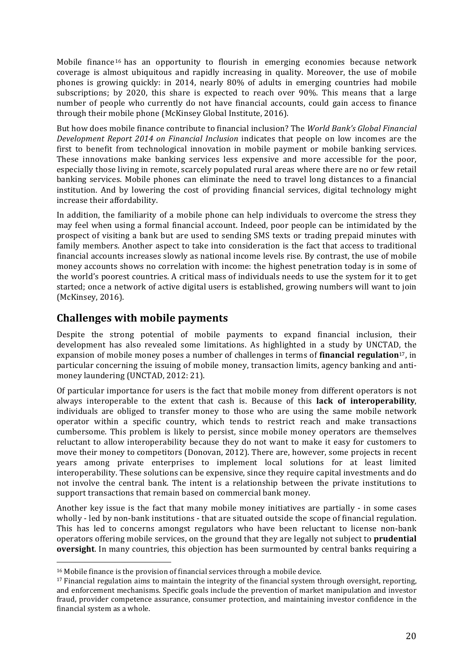Mobile finance  $16$  has an opportunity to flourish in emerging economies because network coverage is almost ubiquitous and rapidly increasing in quality. Moreover, the use of mobile phones is growing quickly: in 2014, nearly 80% of adults in emerging countries had mobile subscriptions; by 2020, this share is expected to reach over  $90\%$ . This means that a large number of people who currently do not have financial accounts, could gain access to finance through their mobile phone (McKinsey Global Institute, 2016).

But how does mobile finance contribute to financial inclusion? The *World Bank's Global Financial Development Report 2014 on Financial Inclusion* indicates that people on low incomes are the first to benefit from technological innovation in mobile payment or mobile banking services. These innovations make banking services less expensive and more accessible for the poor, especially those living in remote, scarcely populated rural areas where there are no or few retail banking services. Mobile phones can eliminate the need to travel long distances to a financial institution. And by lowering the cost of providing financial services, digital technology might increase their affordability.

In addition, the familiarity of a mobile phone can help individuals to overcome the stress they may feel when using a formal financial account. Indeed, poor people can be intimidated by the prospect of visiting a bank but are used to sending SMS texts or trading prepaid minutes with family members. Another aspect to take into consideration is the fact that access to traditional financial accounts increases slowly as national income levels rise. By contrast, the use of mobile money accounts shows no correlation with income: the highest penetration today is in some of the world's poorest countries. A critical mass of individuals needs to use the system for it to get started; once a network of active digital users is established, growing numbers will want to join (McKinsey, 2016).

## **Challenges with mobile payments**

Despite the strong potential of mobile payments to expand financial inclusion, their development has also revealed some limitations. As highlighted in a study by UNCTAD, the expansion of mobile money poses a number of challenges in terms of **financial regulation**<sup>17</sup>, in particular concerning the issuing of mobile money, transaction limits, agency banking and antimoney laundering (UNCTAD, 2012: 21).

Of particular importance for users is the fact that mobile money from different operators is not always interoperable to the extent that cash is. Because of this **lack of interoperability**, individuals are obliged to transfer money to those who are using the same mobile network operator within a specific country, which tends to restrict reach and make transactions cumbersome. This problem is likely to persist, since mobile money operators are themselves reluctant to allow interoperability because they do not want to make it easy for customers to move their money to competitors (Donovan, 2012). There are, however, some projects in recent years among private enterprises to implement local solutions for at least limited interoperability. These solutions can be expensive, since they require capital investments and do not involve the central bank. The intent is a relationship between the private institutions to support transactions that remain based on commercial bank money.

Another key issue is the fact that many mobile money initiatives are partially - in some cases wholly - led by non-bank institutions - that are situated outside the scope of financial regulation. This has led to concerns amongst regulators who have been reluctant to license non-bank operators offering mobile services, on the ground that they are legally not subject to **prudential oversight**. In many countries, this objection has been surmounted by central banks requiring a

 

 $16$  Mobile finance is the provision of financial services through a mobile device.

 $17$  Financial regulation aims to maintain the integrity of the financial system through oversight, reporting, and enforcement mechanisms. Specific goals include the prevention of market manipulation and investor fraud, provider competence assurance, consumer protection, and maintaining investor confidence in the financial system as a whole.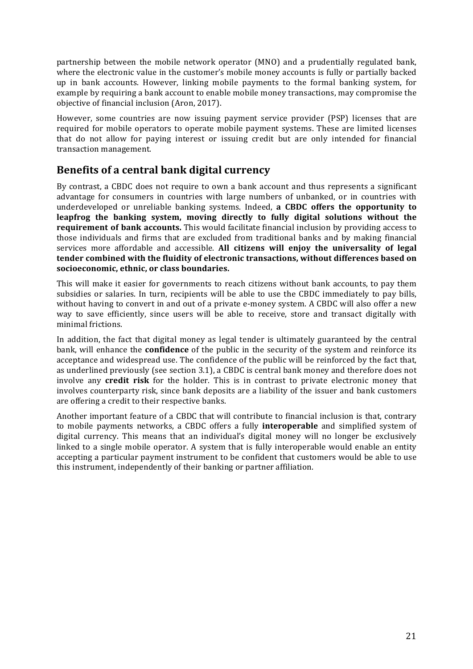partnership between the mobile network operator (MNO) and a prudentially regulated bank, where the electronic value in the customer's mobile money accounts is fully or partially backed up in bank accounts. However, linking mobile payments to the formal banking system, for example by requiring a bank account to enable mobile money transactions, may compromise the objective of financial inclusion (Aron, 2017).

However, some countries are now issuing payment service provider (PSP) licenses that are required for mobile operators to operate mobile payment systems. These are limited licenses that do not allow for paying interest or issuing credit but are only intended for financial transaction management.

## **Benefits of a central bank digital currency**

By contrast, a CBDC does not require to own a bank account and thus represents a significant advantage for consumers in countries with large numbers of unbanked, or in countries with underdeveloped or unreliable banking systems. Indeed, **a CBDC offers the opportunity to** leapfrog the banking system, moving directly to fully digital solutions without the **requirement of bank accounts.** This would facilitate financial inclusion by providing access to those individuals and firms that are excluded from traditional banks and by making financial services more affordable and accessible. All **citizens will enjoy the universality of legal** tender combined with the fluidity of electronic transactions, without differences based on **socioeconomic, ethnic, or class boundaries.**

This will make it easier for governments to reach citizens without bank accounts, to pay them subsidies or salaries. In turn, recipients will be able to use the CBDC immediately to pay bills, without having to convert in and out of a private e-money system. A CBDC will also offer a new way to save efficiently, since users will be able to receive, store and transact digitally with minimal frictions.

In addition, the fact that digital money as legal tender is ultimately guaranteed by the central bank, will enhance the **confidence** of the public in the security of the system and reinforce its acceptance and widespread use. The confidence of the public will be reinforced by the fact that, as underlined previously (see section 3.1), a CBDC is central bank money and therefore does not involve any **credit risk** for the holder. This is in contrast to private electronic money that involves counterparty risk, since bank deposits are a liability of the issuer and bank customers are offering a credit to their respective banks.

Another important feature of a CBDC that will contribute to financial inclusion is that, contrary to mobile payments networks, a CBDC offers a fully **interoperable** and simplified system of digital currency. This means that an individual's digital money will no longer be exclusively linked to a single mobile operator. A system that is fully interoperable would enable an entity accepting a particular payment instrument to be confident that customers would be able to use this instrument, independently of their banking or partner affiliation.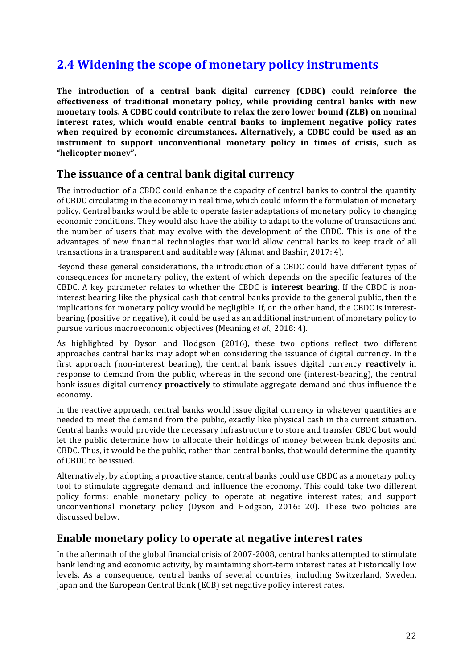# **2.4 Widening the scope of monetary policy instruments**

The introduction of a central bank digital currency (CDBC) could reinforce the effectiveness of traditional monetary policy, while providing central banks with new monetary tools. A CDBC could contribute to relax the zero lower bound (ZLB) on nominal **interest rates, which would enable central banks to implement negative policy rates** when required by economic circumstances. Alternatively, a CDBC could be used as an **instrument** to support unconventional monetary policy in times of crisis, such as **"helicopter money".**

### The issuance of a central bank digital currency

The introduction of a CBDC could enhance the capacity of central banks to control the quantity of CBDC circulating in the economy in real time, which could inform the formulation of monetary policy. Central banks would be able to operate faster adaptations of monetary policy to changing economic conditions. They would also have the ability to adapt to the volume of transactions and the number of users that may evolve with the development of the CBDC. This is one of the advantages of new financial technologies that would allow central banks to keep track of all transactions in a transparent and auditable way (Ahmat and Bashir, 2017: 4).

Beyond these general considerations, the introduction of a CBDC could have different types of consequences for monetary policy, the extent of which depends on the specific features of the CBDC. A key parameter relates to whether the CBDC is **interest bearing**. If the CBDC is noninterest bearing like the physical cash that central banks provide to the general public, then the implications for monetary policy would be negligible. If, on the other hand, the CBDC is interestbearing (positive or negative), it could be used as an additional instrument of monetary policy to pursue various macroeconomic objectives (Meaning *et al.*, 2018: 4).

As highlighted by Dyson and Hodgson (2016), these two options reflect two different approaches central banks may adopt when considering the issuance of digital currency. In the first approach (non-interest bearing), the central bank issues digital currency **reactively** in response to demand from the public, whereas in the second one (interest-bearing), the central bank issues digital currency **proactively** to stimulate aggregate demand and thus influence the economy.

In the reactive approach, central banks would issue digital currency in whatever quantities are needed to meet the demand from the public, exactly like physical cash in the current situation. Central banks would provide the necessary infrastructure to store and transfer CBDC but would let the public determine how to allocate their holdings of money between bank deposits and CBDC. Thus, it would be the public, rather than central banks, that would determine the quantity of CBDC to be issued.

Alternatively, by adopting a proactive stance, central banks could use CBDC as a monetary policy tool to stimulate aggregate demand and influence the economy. This could take two different policy forms: enable monetary policy to operate at negative interest rates; and support unconventional monetary policy (Dyson and Hodgson, 2016: 20). These two policies are discussed below.

#### **Enable monetary policy to operate at negative interest rates**

In the aftermath of the global financial crisis of 2007-2008, central banks attempted to stimulate bank lending and economic activity, by maintaining short-term interest rates at historically low levels. As a consequence, central banks of several countries, including Switzerland, Sweden, Japan and the European Central Bank (ECB) set negative policy interest rates.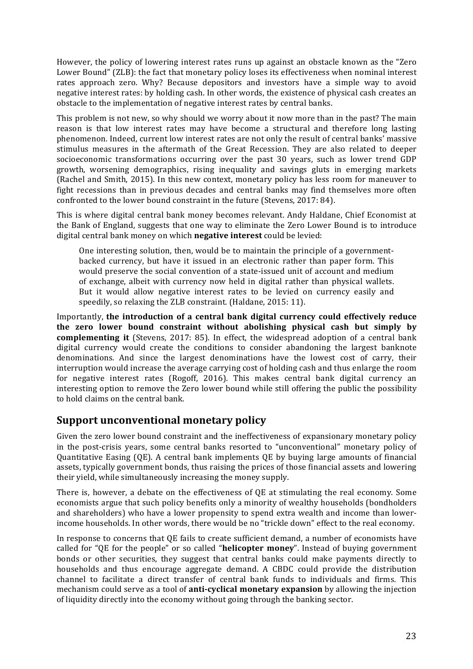However, the policy of lowering interest rates runs up against an obstacle known as the "Zero Lower Bound" (ZLB): the fact that monetary policy loses its effectiveness when nominal interest rates approach zero. Why? Because depositors and investors have a simple way to avoid negative interest rates: by holding cash. In other words, the existence of physical cash creates an obstacle to the implementation of negative interest rates by central banks.

This problem is not new, so why should we worry about it now more than in the past? The main reason is that low interest rates may have become a structural and therefore long lasting phenomenon. Indeed, current low interest rates are not only the result of central banks' massive stimulus measures in the aftermath of the Great Recession. They are also related to deeper socioeconomic transformations occurring over the past 30 years, such as lower trend GDP growth, worsening demographics, rising inequality and savings gluts in emerging markets (Rachel and Smith, 2015). In this new context, monetary policy has less room for maneuver to fight recessions than in previous decades and central banks may find themselves more often confronted to the lower bound constraint in the future (Stevens, 2017: 84).

This is where digital central bank money becomes relevant. Andy Haldane, Chief Economist at the Bank of England, suggests that one way to eliminate the Zero Lower Bound is to introduce digital central bank money on which **negative interest** could be levied:

One interesting solution, then, would be to maintain the principle of a governmentbacked currency, but have it issued in an electronic rather than paper form. This would preserve the social convention of a state-issued unit of account and medium of exchange, albeit with currency now held in digital rather than physical wallets. But it would allow negative interest rates to be levied on currency easily and speedily, so relaxing the ZLB constraint. (Haldane, 2015: 11).

Importantly, the introduction of a central bank digital currency could effectively reduce the zero lower bound constraint without abolishing physical cash but simply by **complementing it** (Stevens, 2017: 85). In effect, the widespread adoption of a central bank digital currency would create the conditions to consider abandoning the largest banknote denominations. And since the largest denominations have the lowest cost of carry, their interruption would increase the average carrying cost of holding cash and thus enlarge the room for negative interest rates (Rogoff, 2016). This makes central bank digital currency an interesting option to remove the Zero lower bound while still offering the public the possibility to hold claims on the central bank.

### **Support unconventional monetary policy**

Given the zero lower bound constraint and the ineffectiveness of expansionary monetary policy in the post-crisis years, some central banks resorted to "unconventional" monetary policy of Quantitative Easing (QE). A central bank implements QE by buying large amounts of financial assets, typically government bonds, thus raising the prices of those financial assets and lowering their yield, while simultaneously increasing the money supply.

There is, however, a debate on the effectiveness of OE at stimulating the real economy. Some economists argue that such policy benefits only a minority of wealthy households (bondholders and shareholders) who have a lower propensity to spend extra wealth and income than lowerincome households. In other words, there would be no "trickle down" effect to the real economy.

In response to concerns that QE fails to create sufficient demand, a number of economists have called for "QE for the people" or so called "**helicopter money**". Instead of buying government bonds or other securities, they suggest that central banks could make payments directly to households and thus encourage aggregate demand. A CBDC could provide the distribution channel to facilitate a direct transfer of central bank funds to individuals and firms. This mechanism could serve as a tool of **anti-cyclical monetary expansion** by allowing the injection of liquidity directly into the economy without going through the banking sector.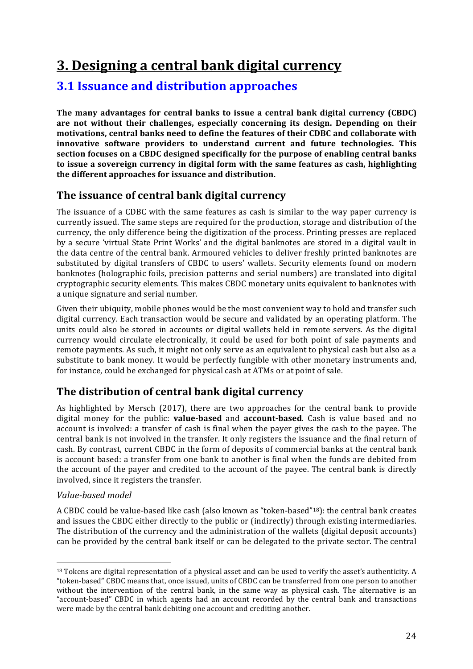# **3. Designing a central bank digital currency**

# **3.1 Issuance and distribution approaches**

The many advantages for central banks to issue a central bank digital currency (CBDC) are not without their challenges, especially concerning its design. Depending on their motivations, central banks need to define the features of their CDBC and collaborate with **innovative** software providers to understand current and future technologies. This **section focuses on a CBDC designed specifically for the purpose of enabling central banks** to issue a sovereign currency in digital form with the same features as cash, highlighting **the different approaches for issuance and distribution.** 

# **The issuance of central bank digital currency**

The issuance of a CDBC with the same features as cash is similar to the way paper currency is currently issued. The same steps are required for the production, storage and distribution of the currency, the only difference being the digitization of the process. Printing presses are replaced by a secure 'virtual State Print Works' and the digital banknotes are stored in a digital vault in the data centre of the central bank. Armoured vehicles to deliver freshly printed banknotes are substituted by digital transfers of CBDC to users' wallets. Security elements found on modern banknotes (holographic foils, precision patterns and serial numbers) are translated into digital cryptographic security elements. This makes CBDC monetary units equivalent to banknotes with a unique signature and serial number.

Given their ubiquity, mobile phones would be the most convenient way to hold and transfer such digital currency. Each transaction would be secure and validated by an operating platform. The units could also be stored in accounts or digital wallets held in remote servers. As the digital currency would circulate electronically, it could be used for both point of sale payments and remote payments. As such, it might not only serve as an equivalent to physical cash but also as a substitute to bank money. It would be perfectly fungible with other monetary instruments and, for instance, could be exchanged for physical cash at ATMs or at point of sale.

# **The distribution of central bank digital currency**

As highlighted by Mersch  $(2017)$ , there are two approaches for the central bank to provide digital money for the public: **value-based** and **account-based**. Cash is value based and no account is involved: a transfer of cash is final when the payer gives the cash to the payee. The central bank is not involved in the transfer. It only registers the issuance and the final return of cash. By contrast, current CBDC in the form of deposits of commercial banks at the central bank is account based: a transfer from one bank to another is final when the funds are debited from the account of the payer and credited to the account of the payee. The central bank is directly involved, since it registers the transfer.

#### *Value-based model*

 

A CBDC could be value-based like cash (also known as "token-based"<sup>18</sup>): the central bank creates and issues the CBDC either directly to the public or (indirectly) through existing intermediaries. The distribution of the currency and the administration of the wallets (digital deposit accounts) can be provided by the central bank itself or can be delegated to the private sector. The central

<sup>&</sup>lt;sup>18</sup> Tokens are digital representation of a physical asset and can be used to verify the asset's authenticity. A "token-based" CBDC means that, once issued, units of CBDC can be transferred from one person to another without the intervention of the central bank, in the same way as physical cash. The alternative is an "account-based" CBDC in which agents had an account recorded by the central bank and transactions were made by the central bank debiting one account and crediting another.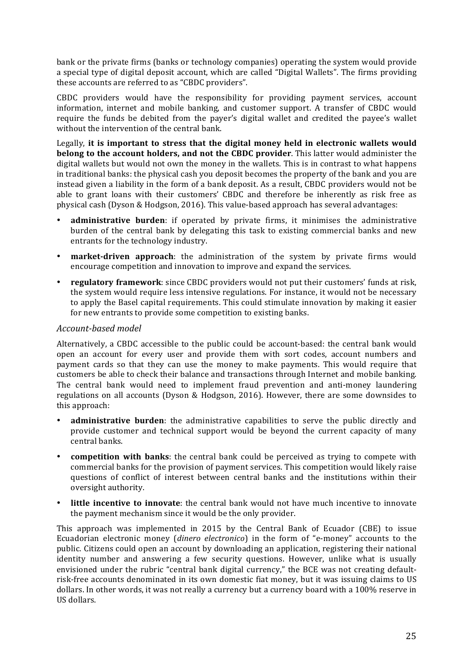bank or the private firms (banks or technology companies) operating the system would provide a special type of digital deposit account, which are called "Digital Wallets". The firms providing these accounts are referred to as "CBDC providers".

CBDC providers would have the responsibility for providing payment services, account information, internet and mobile banking, and customer support. A transfer of CBDC would require the funds be debited from the payer's digital wallet and credited the payee's wallet without the intervention of the central bank.

Legally, it is important to stress that the digital money held in electronic wallets would **belong to the account holders, and not the CBDC provider**. This latter would administer the digital wallets but would not own the money in the wallets. This is in contrast to what happens in traditional banks: the physical cash you deposit becomes the property of the bank and you are instead given a liability in the form of a bank deposit. As a result, CBDC providers would not be able to grant loans with their customers' CBDC and therefore be inherently as risk free as physical cash (Dyson & Hodgson, 2016). This value-based approach has several advantages:

- **administrative burden**: if operated by private firms, it minimises the administrative burden of the central bank by delegating this task to existing commercial banks and new entrants for the technology industry.
- **market-driven approach**: the administration of the system by private firms would encourage competition and innovation to improve and expand the services.
- **regulatory framework**: since CBDC providers would not put their customers' funds at risk, the system would require less intensive regulations. For instance, it would not be necessary to apply the Basel capital requirements. This could stimulate innovation by making it easier for new entrants to provide some competition to existing banks.

#### *Account-based model*

Alternatively, a CBDC accessible to the public could be account-based: the central bank would open an account for every user and provide them with sort codes, account numbers and payment cards so that they can use the money to make payments. This would require that customers be able to check their balance and transactions through Internet and mobile banking. The central bank would need to implement fraud prevention and anti-money laundering regulations on all accounts (Dyson & Hodgson, 2016). However, there are some downsides to this approach:

- administrative burden: the administrative capabilities to serve the public directly and provide customer and technical support would be beyond the current capacity of many central banks.
- **competition with banks**: the central bank could be perceived as trying to compete with commercial banks for the provision of payment services. This competition would likely raise questions of conflict of interest between central banks and the institutions within their oversight authority.
- **little incentive to innovate**: the central bank would not have much incentive to innovate the payment mechanism since it would be the only provider.

This approach was implemented in 2015 by the Central Bank of Ecuador (CBE) to issue Ecuadorian electronic money (*dinero electronico*) in the form of "e-money" accounts to the public. Citizens could open an account by downloading an application, registering their national identity number and answering a few security questions. However, unlike what is usually envisioned under the rubric "central bank digital currency," the BCE was not creating defaultrisk-free accounts denominated in its own domestic fiat money, but it was issuing claims to US dollars. In other words, it was not really a currency but a currency board with a 100% reserve in US dollars.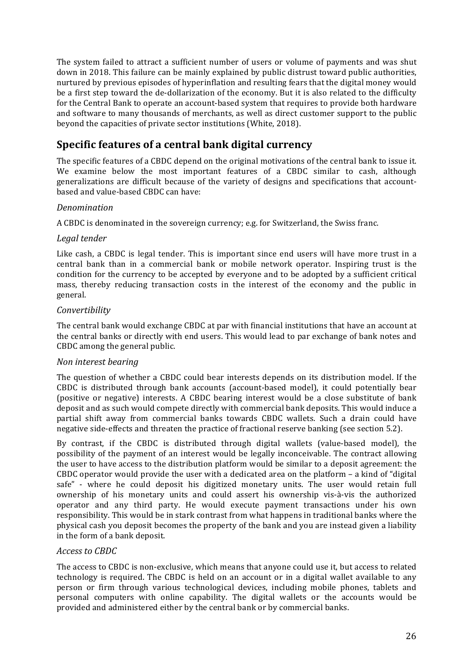The system failed to attract a sufficient number of users or volume of payments and was shut down in 2018. This failure can be mainly explained by public distrust toward public authorities, nurtured by previous episodes of hyperinflation and resulting fears that the digital money would be a first step toward the de-dollarization of the economy. But it is also related to the difficulty for the Central Bank to operate an account-based system that requires to provide both hardware and software to many thousands of merchants, as well as direct customer support to the public beyond the capacities of private sector institutions (White, 2018).

# **Specific features of a central bank digital currency**

The specific features of a CBDC depend on the original motivations of the central bank to issue it. We examine below the most important features of a CBDC similar to cash, although generalizations are difficult because of the variety of designs and specifications that accountbased and value-based CBDC can have:

#### *Denomination*

A CBDC is denominated in the sovereign currency; e.g. for Switzerland, the Swiss franc.

#### *Legal tender*

Like cash, a CBDC is legal tender. This is important since end users will have more trust in a central bank than in a commercial bank or mobile network operator. Inspiring trust is the condition for the currency to be accepted by everyone and to be adopted by a sufficient critical mass, thereby reducing transaction costs in the interest of the economy and the public in general. 

#### *Convertibility*

The central bank would exchange CBDC at par with financial institutions that have an account at the central banks or directly with end users. This would lead to par exchange of bank notes and CBDC among the general public.

#### *Non interest bearing*

The question of whether a CBDC could bear interests depends on its distribution model. If the CBDC is distributed through bank accounts (account-based model), it could potentially bear (positive or negative) interests. A CBDC bearing interest would be a close substitute of bank deposit and as such would compete directly with commercial bank deposits. This would induce a partial shift away from commercial banks towards CBDC wallets. Such a drain could have negative side-effects and threaten the practice of fractional reserve banking (see section 5.2).

By contrast, if the CBDC is distributed through digital wallets (value-based model), the possibility of the payment of an interest would be legally inconceivable. The contract allowing the user to have access to the distribution platform would be similar to a deposit agreement: the CBDC operator would provide the user with a dedicated area on the platform  $-$  a kind of "digital" safe" - where he could deposit his digitized monetary units. The user would retain full ownership of his monetary units and could assert his ownership vis-à-vis the authorized operator and any third party. He would execute payment transactions under his own responsibility. This would be in stark contrast from what happens in traditional banks where the physical cash you deposit becomes the property of the bank and you are instead given a liability in the form of a bank deposit.

#### *Access to CBDC*

The access to CBDC is non-exclusive, which means that anyone could use it, but access to related technology is required. The CBDC is held on an account or in a digital wallet available to any person or firm through various technological devices, including mobile phones, tablets and personal computers with online capability. The digital wallets or the accounts would be provided and administered either by the central bank or by commercial banks.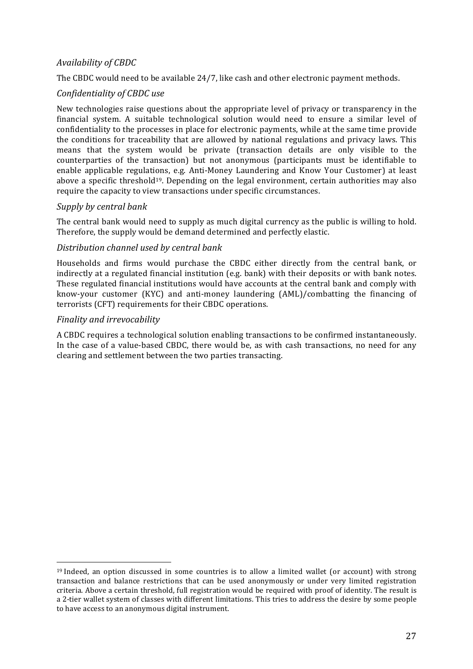#### *Availability of CBDC*

The CBDC would need to be available 24/7, like cash and other electronic payment methods.

#### *Confidentiality of CBDC use*

New technologies raise questions about the appropriate level of privacy or transparency in the financial system. A suitable technological solution would need to ensure a similar level of confidentiality to the processes in place for electronic payments, while at the same time provide the conditions for traceability that are allowed by national regulations and privacy laws. This means that the system would be private (transaction details are only visible to the counterparties of the transaction) but not anonymous (participants must be identifiable to enable applicable regulations, e.g. Anti-Money Laundering and Know Your Customer) at least above a specific threshold<sup>19</sup>. Depending on the legal environment, certain authorities may also require the capacity to view transactions under specific circumstances.

#### *Supply by central bank*

The central bank would need to supply as much digital currency as the public is willing to hold. Therefore, the supply would be demand determined and perfectly elastic.

#### *Distribution channel used by central bank*

Households and firms would purchase the CBDC either directly from the central bank, or indirectly at a regulated financial institution (e.g. bank) with their deposits or with bank notes. These regulated financial institutions would have accounts at the central bank and comply with know-your customer  $(KYC)$  and anti-money laundering  $(AML)/\text{comblating}$  the financing of terrorists (CFT) requirements for their CBDC operations.

#### *Finality and irrevocability*

 

A CBDC requires a technological solution enabling transactions to be confirmed instantaneously. In the case of a value-based CBDC, there would be, as with cash transactions, no need for any clearing and settlement between the two parties transacting.

 $19$  Indeed, an option discussed in some countries is to allow a limited wallet (or account) with strong transaction and balance restrictions that can be used anonymously or under very limited registration criteria. Above a certain threshold, full registration would be required with proof of identity. The result is a 2-tier wallet system of classes with different limitations. This tries to address the desire by some people to have access to an anonymous digital instrument.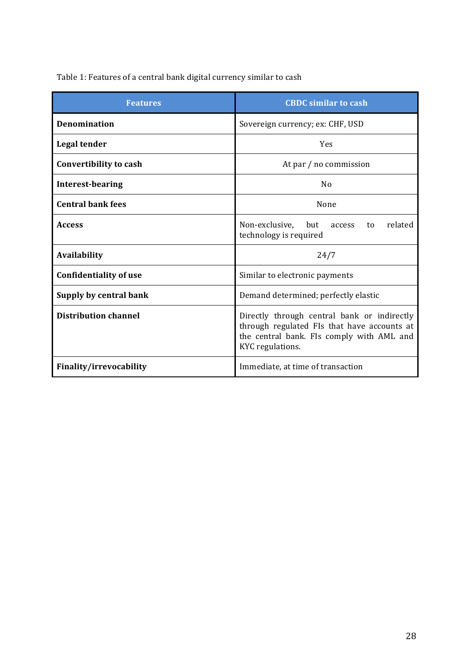# Table 1: Features of a central bank digital currency similar to cash

| <b>Features</b>               | <b>CBDC</b> similar to cash                                                                                                                                 |  |
|-------------------------------|-------------------------------------------------------------------------------------------------------------------------------------------------------------|--|
| <b>Denomination</b>           | Sovereign currency; ex: CHF, USD                                                                                                                            |  |
| Legal tender                  | Yes                                                                                                                                                         |  |
| Convertibility to cash        | At par / no commission                                                                                                                                      |  |
| <b>Interest-bearing</b>       | No                                                                                                                                                          |  |
| <b>Central bank fees</b>      | None                                                                                                                                                        |  |
| <b>Access</b>                 | related<br>Non-exclusive,<br>but<br>access<br>to<br>technology is required                                                                                  |  |
| Availability                  | 24/7                                                                                                                                                        |  |
| <b>Confidentiality of use</b> | Similar to electronic payments                                                                                                                              |  |
| Supply by central bank        | Demand determined; perfectly elastic                                                                                                                        |  |
| <b>Distribution channel</b>   | Directly through central bank or indirectly<br>through regulated FIs that have accounts at<br>the central bank. FIs comply with AML and<br>KYC regulations. |  |
| Finality/irrevocability       | Immediate, at time of transaction                                                                                                                           |  |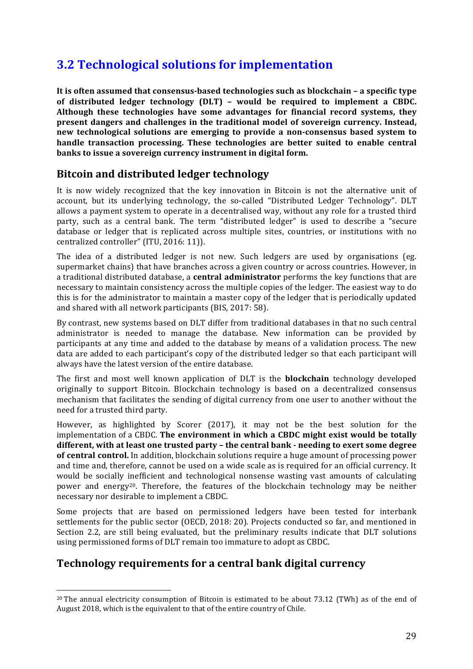# **3.2 Technological solutions for implementation**

It is often assumed that consensus-based technologies such as blockchain – a specific type of distributed ledger technology (DLT) - would be required to implement a CBDC. Although these technologies have some advantages for financial record systems, they **present dangers and challenges in the traditional model of sovereign currency. Instead, new technological solutions are emerging to provide a non-consensus based system to handle transaction processing. These technologies are better suited to enable central banks to issue a sovereign currency instrument in digital form.** 

# **Bitcoin and distributed ledger technology**

It is now widely recognized that the key innovation in Bitcoin is not the alternative unit of account, but its underlying technology, the so-called "Distributed Ledger Technology". DLT allows a payment system to operate in a decentralised way, without any role for a trusted third party, such as a central bank. The term "distributed ledger" is used to describe a "secure database or ledger that is replicated across multiple sites, countries, or institutions with no centralized controller" (ITU, 2016: 11)).

The idea of a distributed ledger is not new. Such ledgers are used by organisations (eg. supermarket chains) that have branches across a given country or across countries. However, in a traditional distributed database, a **central administrator** performs the key functions that are necessary to maintain consistency across the multiple copies of the ledger. The easiest way to do this is for the administrator to maintain a master copy of the ledger that is periodically updated and shared with all network participants (BIS, 2017: 58).

By contrast, new systems based on DLT differ from traditional databases in that no such central administrator is needed to manage the database. New information can be provided by participants at any time and added to the database by means of a validation process. The new data are added to each participant's copy of the distributed ledger so that each participant will always have the latest version of the entire database.

The first and most well known application of DLT is the **blockchain** technology developed originally to support Bitcoin. Blockchain technology is based on a decentralized consensus mechanism that facilitates the sending of digital currency from one user to another without the need for a trusted third party.

However, as highlighted by Scorer (2017), it may not be the best solution for the implementation of a CBDC. The environment in which a CBDC might exist would be totally **different, with at least one trusted party – the central bank - needing to exert some degree of central control.** In addition, blockchain solutions require a huge amount of processing power and time and, therefore, cannot be used on a wide scale as is required for an official currency. It would be socially inefficient and technological nonsense wasting vast amounts of calculating power and energy<sup>20</sup>. Therefore, the features of the blockchain technology may be neither necessary nor desirable to implement a CBDC.

Some projects that are based on permissioned ledgers have been tested for interbank settlements for the public sector (OECD, 2018: 20). Projects conducted so far, and mentioned in Section 2.2, are still being evaluated, but the preliminary results indicate that DLT solutions using permissioned forms of DLT remain too immature to adopt as CBDC.

### **Technology requirements for a central bank digital currency**

 

 $20$  The annual electricity consumption of Bitcoin is estimated to be about 73.12 (TWh) as of the end of August 2018, which is the equivalent to that of the entire country of Chile.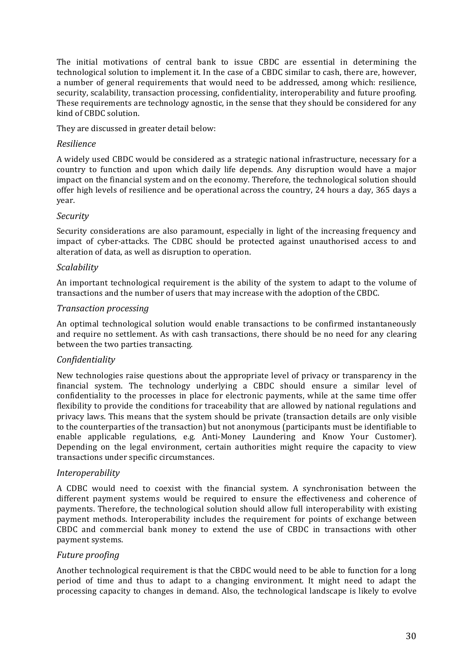The initial motivations of central bank to issue CBDC are essential in determining the technological solution to implement it. In the case of a CBDC similar to cash, there are, however, a number of general requirements that would need to be addressed, among which: resilience, security, scalability, transaction processing, confidentiality, interoperability and future proofing. These requirements are technology agnostic, in the sense that they should be considered for any kind of CBDC solution.

They are discussed in greater detail below:

#### *Resilience*

A widely used CBDC would be considered as a strategic national infrastructure, necessary for a country to function and upon which daily life depends. Any disruption would have a major impact on the financial system and on the economy. Therefore, the technological solution should offer high levels of resilience and be operational across the country, 24 hours a day, 365 days a year.

#### *Security*

Security considerations are also paramount, especially in light of the increasing frequency and impact of cyber-attacks. The CDBC should be protected against unauthorised access to and alteration of data, as well as disruption to operation.

#### *Scalability*

An important technological requirement is the ability of the system to adapt to the volume of transactions and the number of users that may increase with the adoption of the CBDC.

#### *Transaction processing*

An optimal technological solution would enable transactions to be confirmed instantaneously and require no settlement. As with cash transactions, there should be no need for any clearing between the two parties transacting.

#### *Confidentiality*

New technologies raise questions about the appropriate level of privacy or transparency in the financial system. The technology underlying a CBDC should ensure a similar level of confidentiality to the processes in place for electronic payments, while at the same time offer flexibility to provide the conditions for traceability that are allowed by national regulations and privacy laws. This means that the system should be private (transaction details are only visible to the counterparties of the transaction) but not anonymous (participants must be identifiable to enable applicable regulations, e.g. Anti-Money Laundering and Know Your Customer). Depending on the legal environment, certain authorities might require the capacity to view transactions under specific circumstances.

#### *Interoperability*

A CDBC would need to coexist with the financial system. A synchronisation between the different payment systems would be required to ensure the effectiveness and coherence of payments. Therefore, the technological solution should allow full interoperability with existing payment methods. Interoperability includes the requirement for points of exchange between CBDC and commercial bank money to extend the use of CBDC in transactions with other payment systems.

#### *Future proofing*

Another technological requirement is that the CBDC would need to be able to function for a long period of time and thus to adapt to a changing environment. It might need to adapt the processing capacity to changes in demand. Also, the technological landscape is likely to evolve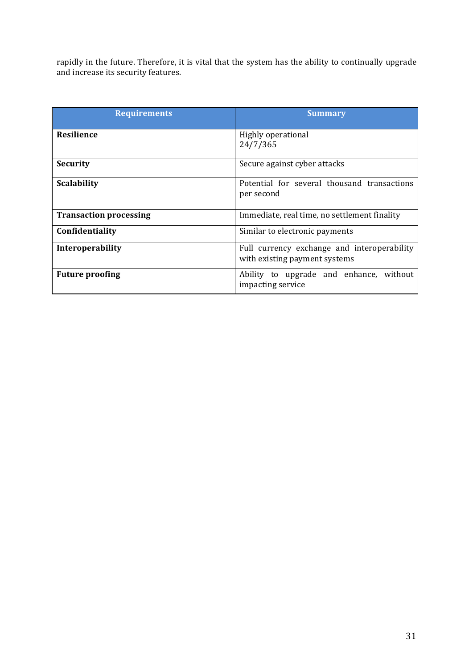rapidly in the future. Therefore, it is vital that the system has the ability to continually upgrade and increase its security features.

| <b>Requirements</b>           | <b>Summary</b>                                                               |
|-------------------------------|------------------------------------------------------------------------------|
| <b>Resilience</b>             | Highly operational<br>24/7/365                                               |
| <b>Security</b>               | Secure against cyber attacks                                                 |
| <b>Scalability</b>            | Potential for several thousand transactions<br>per second                    |
| <b>Transaction processing</b> | Immediate, real time, no settlement finality                                 |
| Confidentiality               | Similar to electronic payments                                               |
| Interoperability              | Full currency exchange and interoperability<br>with existing payment systems |
| <b>Future proofing</b>        | Ability to upgrade and enhance, without<br>impacting service                 |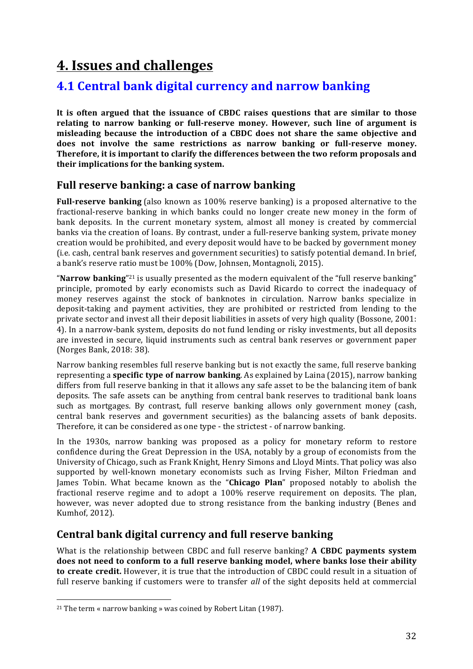# **4. Issues and challenges**

# **4.1 Central bank digital currency and narrow banking**

It is often argued that the issuance of CBDC raises questions that are similar to those relating to narrow banking or full-reserve money. However, such line of argument is misleading because the introduction of a CBDC does not share the same objective and does not involve the same restrictions as narrow banking or full-reserve money. **Therefore, it is important to clarify the differences between the two reform proposals and** their implications for the banking system.

### **Full reserve banking: a case of narrow banking**

**Full-reserve banking** (also known as 100% reserve banking) is a proposed alternative to the fractional-reserve banking in which banks could no longer create new money in the form of bank deposits. In the current monetary system, almost all money is created by commercial banks via the creation of loans. By contrast, under a full-reserve banking system, private money creation would be prohibited, and every deposit would have to be backed by government money (i.e. cash, central bank reserves and government securities) to satisfy potential demand. In brief, a bank's reserve ratio must be 100% (Dow, Johnsen, Montagnoli, 2015).

"**Narrow banking**"<sup>21</sup> is usually presented as the modern equivalent of the "full reserve banking" principle, promoted by early economists such as David Ricardo to correct the inadequacy of money reserves against the stock of banknotes in circulation. Narrow banks specialize in deposit-taking and payment activities, they are prohibited or restricted from lending to the private sector and invest all their deposit liabilities in assets of very high quality (Bossone, 2001: 4). In a narrow-bank system, deposits do not fund lending or risky investments, but all deposits are invested in secure, liquid instruments such as central bank reserves or government paper (Norges Bank, 2018: 38).

Narrow banking resembles full reserve banking but is not exactly the same, full reserve banking representing a **specific type of narrow banking**. As explained by Laina (2015), narrow banking differs from full reserve banking in that it allows any safe asset to be the balancing item of bank deposits. The safe assets can be anything from central bank reserves to traditional bank loans such as mortgages. By contrast, full reserve banking allows only government money (cash, central bank reserves and government securities) as the balancing assets of bank deposits. Therefore, it can be considered as one type - the strictest - of narrow banking.

In the 1930s, narrow banking was proposed as a policy for monetary reform to restore confidence during the Great Depression in the USA, notably by a group of economists from the University of Chicago, such as Frank Knight, Henry Simons and Lloyd Mints. That policy was also supported by well-known monetary economists such as Irving Fisher, Milton Friedman and James Tobin. What became known as the "**Chicago Plan**" proposed notably to abolish the fractional reserve regime and to adopt a 100% reserve requirement on deposits. The plan, however, was never adopted due to strong resistance from the banking industry (Benes and Kumhof, 2012).

# **Central bank digital currency and full reserve banking**

What is the relationship between CBDC and full reserve banking? **A CBDC payments system** does not need to conform to a full reserve banking model, where banks lose their ability **to create credit.** However, it is true that the introduction of CBDC could result in a situation of full reserve banking if customers were to transfer all of the sight deposits held at commercial

 

<sup>&</sup>lt;sup>21</sup> The term « narrow banking » was coined by Robert Litan (1987).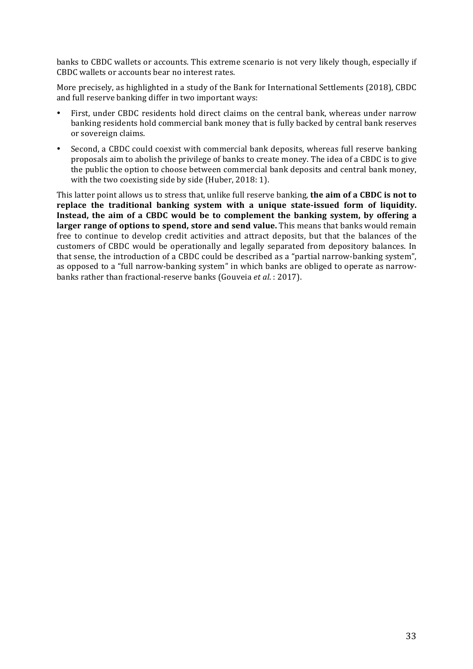banks to CBDC wallets or accounts. This extreme scenario is not very likely though, especially if CBDC wallets or accounts bear no interest rates.

More precisely, as highlighted in a study of the Bank for International Settlements (2018), CBDC and full reserve banking differ in two important ways:

- First, under CBDC residents hold direct claims on the central bank, whereas under narrow banking residents hold commercial bank money that is fully backed by central bank reserves or sovereign claims.
- Second, a CBDC could coexist with commercial bank deposits, whereas full reserve banking proposals aim to abolish the privilege of banks to create money. The idea of a CBDC is to give the public the option to choose between commercial bank deposits and central bank money, with the two coexisting side by side (Huber, 2018: 1).

This latter point allows us to stress that, unlike full reserve banking, the aim of a CBDC is not to replace the traditional banking system with a unique state-issued form of liquidity. **Instead, the aim of a CBDC would be to complement the banking system, by offering a larger range of options to spend, store and send value.** This means that banks would remain free to continue to develop credit activities and attract deposits, but that the balances of the customers of CBDC would be operationally and legally separated from depository balances. In that sense, the introduction of a CBDC could be described as a "partial narrow-banking system", as opposed to a "full narrow-banking system" in which banks are obliged to operate as narrowbanks rather than fractional-reserve banks (Gouveia *et al.*: 2017).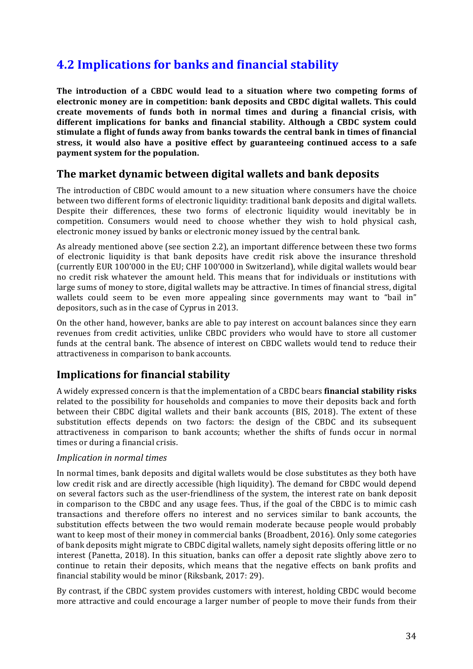# **4.2 Implications for banks and financial stability**

The introduction of a CBDC would lead to a situation where two competing forms of **electronic money are in competition: bank deposits and CBDC digital wallets. This could** create movements of funds both in normal times and during a financial crisis, with different implications for banks and financial stability. Although a CBDC system could stimulate a flight of funds away from banks towards the central bank in times of financial stress, it would also have a positive effect by guaranteeing continued access to a safe **payment system for the population.** 

## **The market dynamic between digital wallets and bank deposits**

The introduction of CBDC would amount to a new situation where consumers have the choice between two different forms of electronic liquidity: traditional bank deposits and digital wallets. Despite their differences, these two forms of electronic liquidity would inevitably be in competition. Consumers would need to choose whether they wish to hold physical cash, electronic money issued by banks or electronic money issued by the central bank.

As already mentioned above (see section 2.2), an important difference between these two forms of electronic liquidity is that bank deposits have credit risk above the insurance threshold (currently EUR 100'000 in the EU; CHF 100'000 in Switzerland), while digital wallets would bear no credit risk whatever the amount held. This means that for individuals or institutions with large sums of money to store, digital wallets may be attractive. In times of financial stress, digital wallets could seem to be even more appealing since governments may want to "bail in" depositors, such as in the case of Cyprus in 2013.

On the other hand, however, banks are able to pay interest on account balances since they earn revenues from credit activities, unlike CBDC providers who would have to store all customer funds at the central bank. The absence of interest on CBDC wallets would tend to reduce their attractiveness in comparison to bank accounts.

# **Implications for financial stability**

A widely expressed concern is that the implementation of a CBDC bears **financial stability risks** related to the possibility for households and companies to move their deposits back and forth between their CBDC digital wallets and their bank accounts (BIS, 2018). The extent of these substitution effects depends on two factors: the design of the CBDC and its subsequent attractiveness in comparison to bank accounts; whether the shifts of funds occur in normal times or during a financial crisis.

#### *Implication in normal times*

In normal times, bank deposits and digital wallets would be close substitutes as they both have low credit risk and are directly accessible (high liquidity). The demand for CBDC would depend on several factors such as the user-friendliness of the system, the interest rate on bank deposit in comparison to the CBDC and any usage fees. Thus, if the goal of the CBDC is to mimic cash transactions and therefore offers no interest and no services similar to bank accounts, the substitution effects between the two would remain moderate because people would probably want to keep most of their money in commercial banks (Broadbent, 2016). Only some categories of bank deposits might migrate to CBDC digital wallets, namely sight deposits offering little or no interest (Panetta, 2018). In this situation, banks can offer a deposit rate slightly above zero to continue to retain their deposits, which means that the negative effects on bank profits and financial stability would be minor (Riksbank, 2017: 29).

By contrast, if the CBDC system provides customers with interest, holding CBDC would become more attractive and could encourage a larger number of people to move their funds from their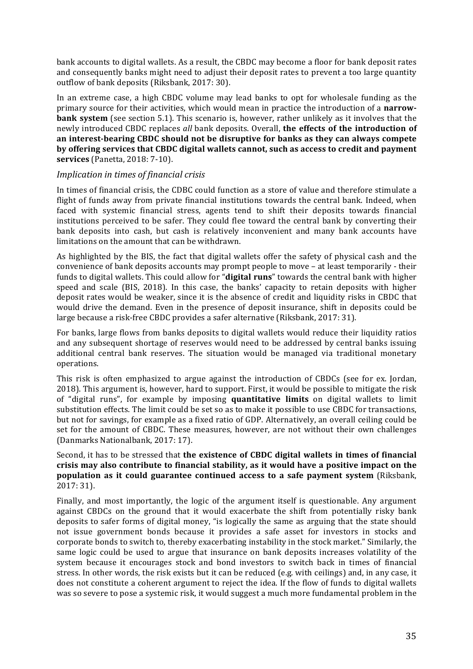bank accounts to digital wallets. As a result, the CBDC may become a floor for bank deposit rates and consequently banks might need to adjust their deposit rates to prevent a too large quantity outflow of bank deposits (Riksbank, 2017: 30).

In an extreme case, a high CBDC volume may lead banks to opt for wholesale funding as the primary source for their activities, which would mean in practice the introduction of a **narrowbank system** (see section 5.1). This scenario is, however, rather unlikely as it involves that the newly introduced CBDC replaces all bank deposits. Overall, the effects of the introduction of an interest-bearing CBDC should not be disruptive for banks as they can always compete **by offering services that CBDC digital wallets cannot, such as access to credit and payment services** (Panetta, 2018: 7-10).

#### *Implication in times of financial crisis*

In times of financial crisis, the CDBC could function as a store of value and therefore stimulate a flight of funds away from private financial institutions towards the central bank. Indeed, when faced with systemic financial stress, agents tend to shift their deposits towards financial institutions perceived to be safer. They could flee toward the central bank by converting their bank deposits into cash, but cash is relatively inconvenient and many bank accounts have limitations on the amount that can be withdrawn.

As highlighted by the BIS, the fact that digital wallets offer the safety of physical cash and the convenience of bank deposits accounts may prompt people to move - at least temporarily - their funds to digital wallets. This could allow for "**digital runs**" towards the central bank with higher speed and scale (BIS, 2018). In this case, the banks' capacity to retain deposits with higher deposit rates would be weaker, since it is the absence of credit and liquidity risks in CBDC that would drive the demand. Even in the presence of deposit insurance, shift in deposits could be large because a risk-free CBDC provides a safer alternative  $(Riksbank, 2017; 31)$ .

For banks, large flows from banks deposits to digital wallets would reduce their liquidity ratios and any subsequent shortage of reserves would need to be addressed by central banks issuing additional central bank reserves. The situation would be managed via traditional monetary operations.

This risk is often emphasized to argue against the introduction of CBDCs (see for ex. Iordan, 2018). This argument is, however, hard to support. First, it would be possible to mitigate the risk of "digital runs", for example by imposing **quantitative limits** on digital wallets to limit substitution effects. The limit could be set so as to make it possible to use CBDC for transactions, but not for savings, for example as a fixed ratio of GDP. Alternatively, an overall ceiling could be set for the amount of CBDC. These measures, however, are not without their own challenges (Danmarks Nationalbank, 2017: 17).

#### Second, it has to be stressed that the existence of CBDC digital wallets in times of financial crisis may also contribute to financial stability, as it would have a positive impact on the **population as it could guarantee continued access to a safe payment system** (Riksbank, 2017: 31).

Finally, and most importantly, the logic of the argument itself is questionable. Any argument against CBDCs on the ground that it would exacerbate the shift from potentially risky bank deposits to safer forms of digital money, "is logically the same as arguing that the state should not issue government bonds because it provides a safe asset for investors in stocks and corporate bonds to switch to, thereby exacerbating instability in the stock market." Similarly, the same logic could be used to argue that insurance on bank deposits increases volatility of the system because it encourages stock and bond investors to switch back in times of financial stress. In other words, the risk exists but it can be reduced (e.g. with ceilings) and, in any case, it does not constitute a coherent argument to reject the idea. If the flow of funds to digital wallets was so severe to pose a systemic risk, it would suggest a much more fundamental problem in the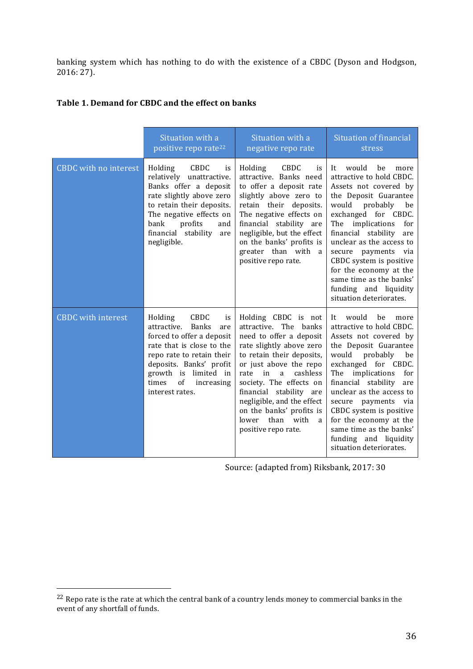banking system which has nothing to do with the existence of a CBDC (Dyson and Hodgson, 2016: 27).

|                              | Situation with a<br>positive repo rate <sup>22</sup>                                                                                                                                                                                                  | Situation with a<br>negative repo rate                                                                                                                                                                                                                                                                                                                         | Situation of financial<br>stress                                                                                                                                                                                                                                                                                                                                                                          |
|------------------------------|-------------------------------------------------------------------------------------------------------------------------------------------------------------------------------------------------------------------------------------------------------|----------------------------------------------------------------------------------------------------------------------------------------------------------------------------------------------------------------------------------------------------------------------------------------------------------------------------------------------------------------|-----------------------------------------------------------------------------------------------------------------------------------------------------------------------------------------------------------------------------------------------------------------------------------------------------------------------------------------------------------------------------------------------------------|
| <b>CBDC</b> with no interest | CBDC<br>Holding<br>is<br>relatively unattractive.<br>Banks offer a deposit<br>rate slightly above zero<br>to retain their deposits.<br>The negative effects on<br>profits<br>bank<br>and<br>financial stability<br>are<br>negligible.                 | CBDC<br>Holding<br>is<br>attractive. Banks need<br>to offer a deposit rate<br>slightly above zero to<br>retain their deposits.<br>The negative effects on<br>financial stability are<br>negligible, but the effect<br>on the banks' profits is<br>greater than with<br><sub>a</sub><br>positive repo rate.                                                     | It<br>would<br>be<br>more<br>attractive to hold CBDC.<br>Assets not covered by<br>the Deposit Guarantee<br>would probably<br>be<br>exchanged for CBDC.<br>The implications<br>for<br>financial stability<br>are<br>unclear as the access to<br>secure payments<br>via<br>CBDC system is positive<br>for the economy at the<br>same time as the banks'<br>funding and liquidity<br>situation deteriorates. |
| <b>CBDC</b> with interest    | Holding<br>CBDC<br>is<br>attractive.<br><b>Banks</b><br>are<br>forced to offer a deposit<br>rate that is close to the<br>repo rate to retain their<br>deposits. Banks' profit<br>growth is limited in<br>of<br>times<br>increasing<br>interest rates. | Holding CBDC is not<br>attractive. The banks<br>need to offer a deposit<br>rate slightly above zero<br>to retain their deposits,<br>or just above the repo<br>cashless<br>in<br>a<br>rate<br>society. The effects on<br>financial stability are<br>negligible, and the effect<br>on the banks' profits is<br>than<br>with<br>lower<br>a<br>positive repo rate. | It would be<br>more<br>attractive to hold CBDC.<br>Assets not covered by<br>the Deposit Guarantee<br>would<br>probably<br>be<br>exchanged for CBDC.<br>implications<br>The<br>for<br>financial stability<br>are<br>unclear as the access to<br>secure payments via<br>CBDC system is positive<br>for the economy at the<br>same time as the banks'<br>funding and liquidity<br>situation deteriorates.    |

#### Table 1. Demand for CBDC and the effect on banks

Source: (adapted from) Riksbank, 2017: 30

 

 $22$  Repo rate is the rate at which the central bank of a country lends money to commercial banks in the event of any shortfall of funds.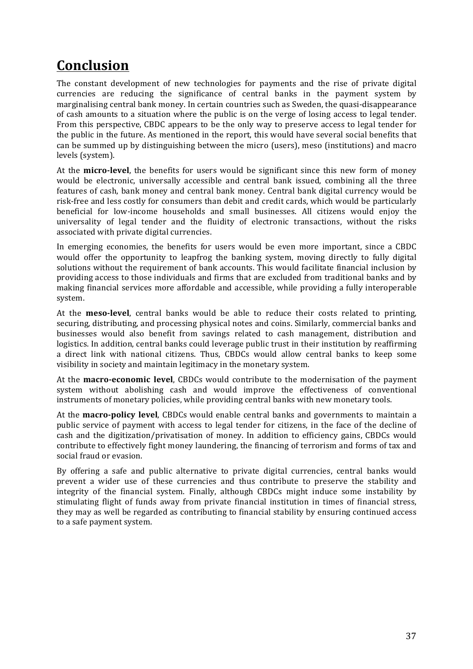# **Conclusion**

The constant development of new technologies for payments and the rise of private digital currencies are reducing the significance of central banks in the payment system by marginalising central bank money. In certain countries such as Sweden, the quasi-disappearance of cash amounts to a situation where the public is on the verge of losing access to legal tender. From this perspective, CBDC appears to be the only way to preserve access to legal tender for the public in the future. As mentioned in the report, this would have several social benefits that can be summed up by distinguishing between the micro (users), meso (institutions) and macro levels (system).

At the **micro-level**, the benefits for users would be significant since this new form of money would be electronic, universally accessible and central bank issued, combining all the three features of cash, bank money and central bank money. Central bank digital currency would be risk-free and less costly for consumers than debit and credit cards, which would be particularly beneficial for low-income households and small businesses. All citizens would enjoy the universality of legal tender and the fluidity of electronic transactions, without the risks associated with private digital currencies.

In emerging economies, the benefits for users would be even more important, since a CBDC would offer the opportunity to leapfrog the banking system, moving directly to fully digital solutions without the requirement of bank accounts. This would facilitate financial inclusion by providing access to those individuals and firms that are excluded from traditional banks and by making financial services more affordable and accessible, while providing a fully interoperable system. 

At the **meso-level**, central banks would be able to reduce their costs related to printing, securing, distributing, and processing physical notes and coins. Similarly, commercial banks and businesses would also benefit from savings related to cash management, distribution and logistics. In addition, central banks could leverage public trust in their institution by reaffirming a direct link with national citizens. Thus, CBDCs would allow central banks to keep some visibility in society and maintain legitimacy in the monetary system.

At the **macro-economic level**, CBDCs would contribute to the modernisation of the payment system without abolishing cash and would improve the effectiveness of conventional instruments of monetary policies, while providing central banks with new monetary tools.

At the **macro-policy level**, CBDCs would enable central banks and governments to maintain a public service of payment with access to legal tender for citizens, in the face of the decline of cash and the digitization/privatisation of money. In addition to efficiency gains, CBDCs would contribute to effectively fight money laundering, the financing of terrorism and forms of tax and social fraud or evasion.

By offering a safe and public alternative to private digital currencies, central banks would prevent a wider use of these currencies and thus contribute to preserve the stability and integrity of the financial system. Finally, although CBDCs might induce some instability by stimulating flight of funds away from private financial institution in times of financial stress, they may as well be regarded as contributing to financial stability by ensuring continued access to a safe payment system.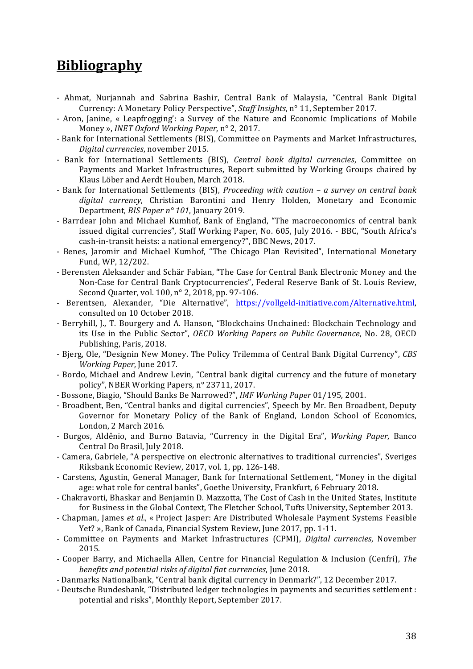# **Bibliography**

- Ahmat, Nurjannah and Sabrina Bashir, Central Bank of Malaysia, "Central Bank Digital Currency: A Monetary Policy Perspective", Staff Insights, n° 11, September 2017.
- Aron, Janine, « Leapfrogging': a Survey of the Nature and Economic Implications of Mobile Money », *INET Oxford Working Paper*, n° 2, 2017.
- Bank for International Settlements (BIS), Committee on Payments and Market Infrastructures, *Digital currencies*, november 2015.
- Bank for International Settlements (BIS), *Central bank digital currencies*, Committee on Payments and Market Infrastructures, Report submitted by Working Groups chaired by Klaus Löber and Aerdt Houben, March 2018.
- Bank for International Settlements (BIS), *Proceeding with caution* a survey on central bank digital currency, Christian Barontini and Henry Holden, Monetary and Economic Department, *BIS Paper n° 101*, January 2019.
- Barrdear John and Michael Kumhof, Bank of England, "The macroeconomics of central bank issued digital currencies", Staff Working Paper, No. 605, July 2016. - BBC, "South Africa's cash-in-transit heists: a national emergency?", BBC News, 2017.
- Benes, Jaromir and Michael Kumhof, "The Chicago Plan Revisited", International Monetary Fund, WP, 12/202.
- Berensten Aleksander and Schär Fabian, "The Case for Central Bank Electronic Money and the Non-Case for Central Bank Cryptocurrencies", Federal Reserve Bank of St. Louis Review, Second Quarter, vol. 100, n° 2, 2018, pp. 97-106.
- Berentsen, Alexander, "Die Alternative", https://vollgeld-initiative.com/Alternative.html. consulted on 10 October 2018.
- Berryhill, J., T. Bourgery and A. Hanson, "Blockchains Unchained: Blockchain Technology and its Use in the Public Sector", *OECD Working Papers on Public Governance*, No. 28, OECD Publishing, Paris, 2018.
- Bierg, Ole, "Designin New Money. The Policy Trilemma of Central Bank Digital Currency", *CBS Working Paper*, June 2017.
- Bordo, Michael and Andrew Levin, "Central bank digital currency and the future of monetary policy", NBER Working Papers, n° 23711, 2017.
- Bossone, Biagio, "Should Banks Be Narrowed?", *IMF Working Paper* 01/195, 2001.
- Broadbent, Ben, "Central banks and digital currencies", Speech by Mr. Ben Broadbent, Deputy Governor for Monetary Policy of the Bank of England, London School of Economics, London, 2 March 2016.
- Burgos, Aldênio, and Burno Batavia, "Currency in the Digital Era", *Working Paper*, Banco Central Do Brasil, July 2018.
- Camera, Gabriele, "A perspective on electronic alternatives to traditional currencies", Sveriges Riksbank Economic Review, 2017, vol. 1, pp. 126-148.
- Carstens, Agustin, General Manager, Bank for International Settlement, "Money in the digital age: what role for central banks", Goethe University, Frankfurt, 6 February 2018.
- Chakravorti, Bhaskar and Benjamin D. Mazzotta, The Cost of Cash in the United States, Institute for Business in the Global Context, The Fletcher School, Tufts University, September 2013.
- Chapman, James et al., « Project Jasper: Are Distributed Wholesale Payment Systems Feasible Yet? », Bank of Canada, Financial System Review, June 2017, pp. 1-11.
- Committee on Payments and Market Infrastructures (CPMI), *Digital currencies*, November 2015.
- Cooper Barry, and Michaella Allen, Centre for Financial Regulation & Inclusion (Cenfri), *The benefits and potential risks of digital fiat currencies*, June 2018.
- Danmarks Nationalbank, "Central bank digital currency in Denmark?", 12 December 2017.
- Deutsche Bundesbank, "Distributed ledger technologies in payments and securities settlement : potential and risks", Monthly Report, September 2017.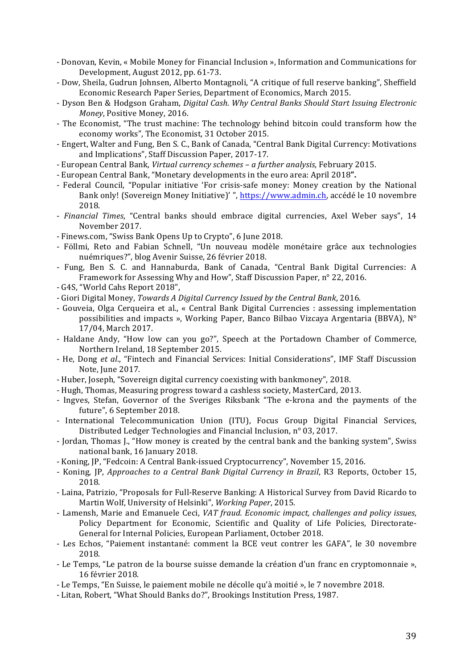- Donovan, Kevin, « Mobile Money for Financial Inclusion », Information and Communications for Development, August 2012, pp. 61-73.
- Dow, Sheila, Gudrun Johnsen, Alberto Montagnoli, "A critique of full reserve banking", Sheffield Economic Research Paper Series, Department of Economics, March 2015.
- Dyson Ben & Hodgson Graham, *Digital Cash. Why Central Banks Should Start Issuing Electronic Money*, Positive Money, 2016.
- The Economist, "The trust machine: The technology behind bitcoin could transform how the economy works", The Economist, 31 October 2015.
- Engert, Walter and Fung, Ben S. C., Bank of Canada, "Central Bank Digital Currency: Motivations and Implications", Staff Discussion Paper, 2017-17.
- European Central Bank, *Virtual currency schemes – a further analysis*, February 2015.
- European Central Bank, "Monetary developments in the euro area: April 2018".
- Federal Council, "Popular initiative 'For crisis-safe money: Money creation by the National Bank only! (Sovereign Money Initiative)' ", https://www.admin.ch, accédé le 10 novembre 2018.
- *Financial Times*, "Central banks should embrace digital currencies, Axel Weber says", 14 November 2017.
- Finews.com, "Swiss Bank Opens Up to Crypto", 6 June 2018.
- Föllmi, Reto and Fabian Schnell, "Un nouveau modèle monétaire grâce aux technologies nuémriques?", blog Avenir Suisse, 26 février 2018.
- Fung, Ben S. C. and Hannaburda, Bank of Canada, "Central Bank Digital Currencies: A Framework for Assessing Why and How", Staff Discussion Paper, n° 22, 2016.
- G4S, "World Cahs Report 2018",
- Giori Digital Money, *Towards A Digital Currency Issued by the Central Bank*, 2016.
- Gouveia, Olga Cerqueira et al., « Central Bank Digital Currencies : assessing implementation possibilities and impacts », Working Paper, Banco Bilbao Vizcaya Argentaria (BBVA),  $N^{\circ}$ 17/04, March 2017.
- Haldane Andy, "How low can you go?", Speech at the Portadown Chamber of Commerce, Northern Ireland, 18 September 2015.
- He, Dong et al., "Fintech and Financial Services: Initial Considerations", IMF Staff Discussion Note, June 2017.
- Huber, Joseph, "Sovereign digital currency coexisting with bankmoney", 2018.
- Hugh, Thomas, Measuring progress toward a cashless society, MasterCard, 2013.
- Ingves, Stefan, Governor of the Sveriges Riksbank "The e-krona and the payments of the future", 6 September 2018.
- International Telecommunication Union (ITU), Focus Group Digital Financial Services, Distributed Ledger Technologies and Financial Inclusion, n° 03, 2017.
- Jordan, Thomas J., "How money is created by the central bank and the banking system". Swiss national bank, 16 January 2018.
- Koning, JP, "Fedcoin: A Central Bank-issued Cryptocurrency", November 15, 2016.
- Koning, JP, *Approaches to a Central Bank Digital Currency in Brazil*, R3 Reports, October 15, 2018.
- Laina, Patrizio, "Proposals for Full-Reserve Banking: A Historical Survey from David Ricardo to Martin Wolf, University of Helsinki", Working Paper, 2015.
- Lamensh, Marie and Emanuele Ceci, *VAT fraud. Economic impact, challenges and policy issues*, Policy Department for Economic, Scientific and Quality of Life Policies, Directorate-General for Internal Policies, European Parliament, October 2018.
- Les Echos, "Paiement instantané: comment la BCE veut contrer les GAFA", le 30 novembre 2018.
- Le Temps, "Le patron de la bourse suisse demande la création d'un franc en cryptomonnaie », 16 février 2018.
- Le Temps, "En Suisse, le paiement mobile ne décolle qu'à moitié », le 7 novembre 2018.
- Litan, Robert, "What Should Banks do?", Brookings Institution Press, 1987.